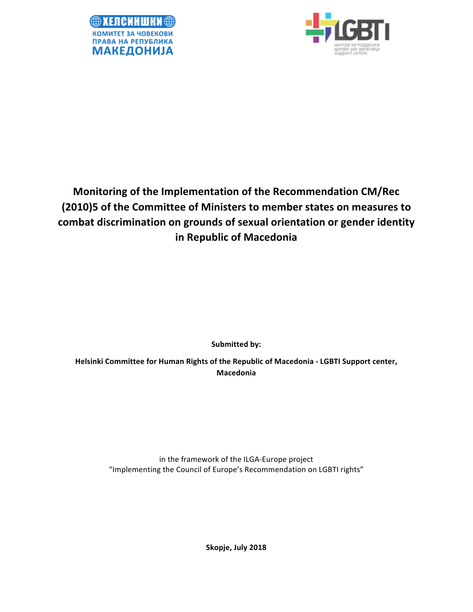



# **Monitoring of the Implementation of the Recommendation CM/Rec (2010)5** of the Committee of Ministers to member states on measures to combat discrimination on grounds of sexual orientation or gender identity **in Republic of Macedonia**

**Submitted by:** 

Helsinki Committee for Human Rights of the Republic of Macedonia - LGBTI Support center, **Macedonia** 

> in the framework of the ILGA-Europe project "Implementing the Council of Europe's Recommendation on LGBTI rights"

> > Skopje, July 2018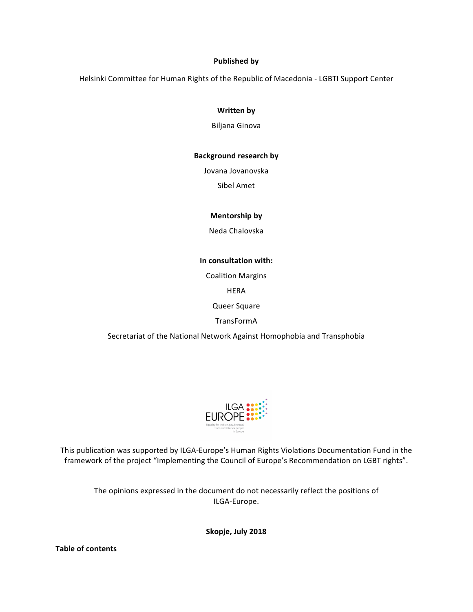### **Published by**

Helsinki Committee for Human Rights of the Republic of Macedonia - LGBTI Support Center

### **Written by**

Biljana Ginova

### **Background research by**

Jovana Jovanovska

Sibel Amet

# **Mentorship** by

Neda Chalovska 

### **In consultation with:**

Coalition Margins

HERA

Queer Square 

TransFormA

Secretariat of the National Network Against Homophobia and Transphobia



This publication was supported by ILGA-Europe's Human Rights Violations Documentation Fund in the framework of the project "Implementing the Council of Europe's Recommendation on LGBT rights".

The opinions expressed in the document do not necessarily reflect the positions of ILGA-Europe.

Skopje, July 2018

**Table of contents**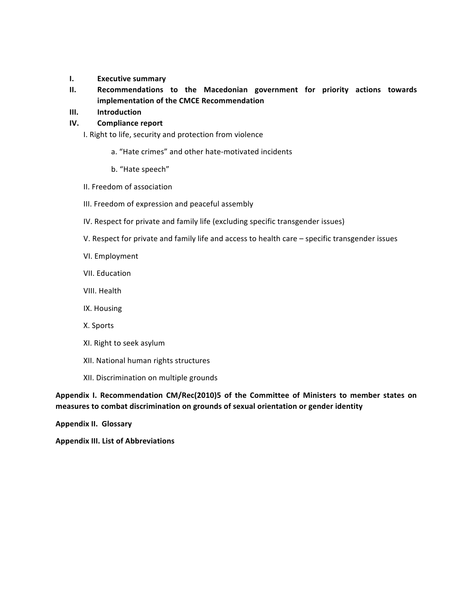- **I. Executive summary**
- **II. Recommendations to the Macedonian government for priority actions towards implementation of the CMCE Recommendation**
- **III. Introduction**

# **IV.** Compliance report

- I. Right to life, security and protection from violence
	- a. "Hate crimes" and other hate-motivated incidents
	- b. "Hate speech"
- II. Freedom of association
- III. Freedom of expression and peaceful assembly
- IV. Respect for private and family life (excluding specific transgender issues)
- V. Respect for private and family life and access to health care specific transgender issues
- VI. Employment
- VII. Education
- VIII. Health
- IX. Housing
- X. Sports
- XI. Right to seek asylum
- XII. National human rights structures
- XII. Discrimination on multiple grounds

Appendix I. Recommendation CM/Rec(2010)5 of the Committee of Ministers to member states on measures to combat discrimination on grounds of sexual orientation or gender identity

**Appendix II. Glossary** 

**Appendix III. List of Abbreviations**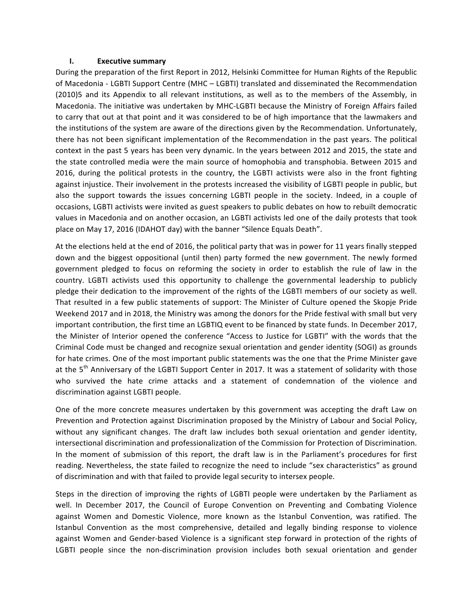#### **I. Executive summary**

During the preparation of the first Report in 2012, Helsinki Committee for Human Rights of the Republic of Macedonia - LGBTI Support Centre (MHC – LGBTI) translated and disseminated the Recommendation (2010)5 and its Appendix to all relevant institutions, as well as to the members of the Assembly, in Macedonia. The initiative was undertaken by MHC-LGBTI because the Ministry of Foreign Affairs failed to carry that out at that point and it was considered to be of high importance that the lawmakers and the institutions of the system are aware of the directions given by the Recommendation. Unfortunately, there has not been significant implementation of the Recommendation in the past years. The political context in the past 5 years has been very dynamic. In the years between 2012 and 2015, the state and the state controlled media were the main source of homophobia and transphobia. Between 2015 and 2016, during the political protests in the country, the LGBTI activists were also in the front fighting against injustice. Their involvement in the protests increased the visibility of LGBTI people in public, but also the support towards the issues concerning LGBTI people in the society. Indeed, in a couple of occasions, LGBTI activists were invited as guest speakers to public debates on how to rebuilt democratic values in Macedonia and on another occasion, an LGBTI activists led one of the daily protests that took place on May 17, 2016 (IDAHOT day) with the banner "Silence Equals Death".

At the elections held at the end of 2016, the political party that was in power for 11 years finally stepped down and the biggest oppositional (until then) party formed the new government. The newly formed government pledged to focus on reforming the society in order to establish the rule of law in the country. LGBTI activists used this opportunity to challenge the governmental leadership to publicly pledge their dedication to the improvement of the rights of the LGBTI members of our society as well. That resulted in a few public statements of support: The Minister of Culture opened the Skopje Pride Weekend 2017 and in 2018, the Ministry was among the donors for the Pride festival with small but very important contribution, the first time an LGBTIQ event to be financed by state funds. In December 2017, the Minister of Interior opened the conference "Access to Justice for LGBTI" with the words that the Criminal Code must be changed and recognize sexual orientation and gender identity (SOGI) as grounds for hate crimes. One of the most important public statements was the one that the Prime Minister gave at the 5<sup>th</sup> Anniversary of the LGBTI Support Center in 2017. It was a statement of solidarity with those who survived the hate crime attacks and a statement of condemnation of the violence and discrimination against LGBTI people.

One of the more concrete measures undertaken by this government was accepting the draft Law on Prevention and Protection against Discrimination proposed by the Ministry of Labour and Social Policy, without any significant changes. The draft law includes both sexual orientation and gender identity, intersectional discrimination and professionalization of the Commission for Protection of Discrimination. In the moment of submission of this report, the draft law is in the Parliament's procedures for first reading. Nevertheless, the state failed to recognize the need to include "sex characteristics" as ground of discrimination and with that failed to provide legal security to intersex people.

Steps in the direction of improving the rights of LGBTI people were undertaken by the Parliament as well. In December 2017, the Council of Europe Convention on Preventing and Combating Violence against Women and Domestic Violence, more known as the Istanbul Convention, was ratified. The Istanbul Convention as the most comprehensive, detailed and legally binding response to violence against Women and Gender-based Violence is a significant step forward in protection of the rights of LGBTI people since the non-discrimination provision includes both sexual orientation and gender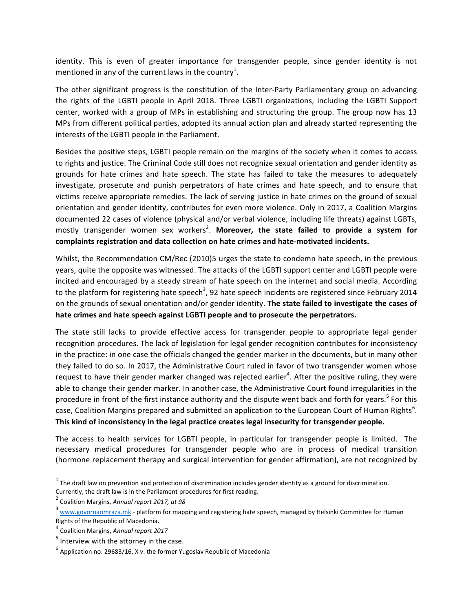identity. This is even of greater importance for transgender people, since gender identity is not mentioned in any of the current laws in the country<sup>1</sup>.

The other significant progress is the constitution of the Inter-Party Parliamentary group on advancing the rights of the LGBTI people in April 2018. Three LGBTI organizations, including the LGBTI Support center, worked with a group of MPs in establishing and structuring the group. The group now has 13 MPs from different political parties, adopted its annual action plan and already started representing the interests of the LGBTI people in the Parliament.

Besides the positive steps, LGBTI people remain on the margins of the society when it comes to access to rights and justice. The Criminal Code still does not recognize sexual orientation and gender identity as grounds for hate crimes and hate speech. The state has failed to take the measures to adequately investigate, prosecute and punish perpetrators of hate crimes and hate speech, and to ensure that victims receive appropriate remedies. The lack of serving justice in hate crimes on the ground of sexual orientation and gender identity, contributes for even more violence. Only in 2017, a Coalition Margins documented 22 cases of violence (physical and/or verbal violence, including life threats) against LGBTs, mostly transgender women sex workers<sup>2</sup>. Moreover, the state failed to provide a system for complaints registration and data collection on hate crimes and hate-motivated incidents.

Whilst, the Recommendation CM/Rec (2010)5 urges the state to condemn hate speech, in the previous years, quite the opposite was witnessed. The attacks of the LGBTI support center and LGBTI people were incited and encouraged by a steady stream of hate speech on the internet and social media. According to the platform for registering hate speech<sup>3</sup>, 92 hate speech incidents are registered since February 2014 on the grounds of sexual orientation and/or gender identity. The state failed to investigate the cases of hate crimes and hate speech against LGBTI people and to prosecute the perpetrators.

The state still lacks to provide effective access for transgender people to appropriate legal gender recognition procedures. The lack of legislation for legal gender recognition contributes for inconsistency in the practice: in one case the officials changed the gender marker in the documents, but in many other they failed to do so. In 2017, the Administrative Court ruled in favor of two transgender women whose request to have their gender marker changed was rejected earlier<sup>4</sup>. After the positive ruling, they were able to change their gender marker. In another case, the Administrative Court found irregularities in the procedure in front of the first instance authority and the dispute went back and forth for years.<sup>5</sup> For this case, Coalition Margins prepared and submitted an application to the European Court of Human Rights<sup>6</sup>. This kind of inconsistency in the legal practice creates legal insecurity for transgender people.

The access to health services for LGBTI people, in particular for transgender people is limited. The necessary medical procedures for transgender people who are in process of medical transition (hormone replacement therapy and surgical intervention for gender affirmation), are not recognized by

 $1$  The draft law on prevention and protection of discrimination includes gender identity as a ground for discrimination. Currently, the draft law is in the Parliament procedures for first reading.

<sup>&</sup>lt;sup>2</sup> Coalition Margins, Annual report 2017, at 98

 $3$  www.govornaomraza.mk - platform for mapping and registering hate speech, managed by Helsinki Committee for Human Rights of the Republic of Macedonia.

<sup>&</sup>lt;sup>4</sup> Coalition Margins, Annual report 2017

 $<sup>5</sup>$  Interview with the attorney in the case.</sup>

 $^6$  Application no. 29683/16, X v. the former Yugoslav Republic of Macedonia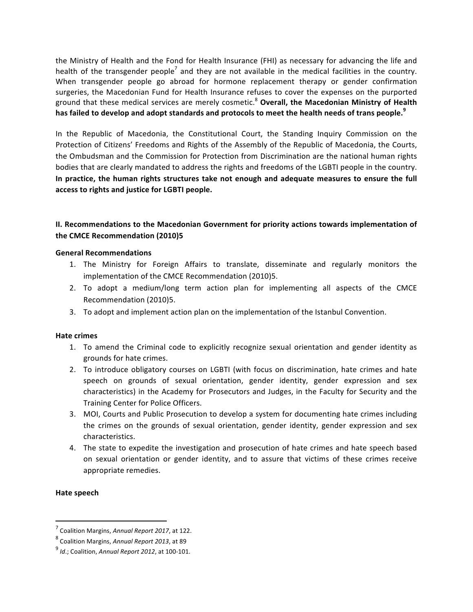the Ministry of Health and the Fond for Health Insurance (FHI) as necessary for advancing the life and health of the transgender people<sup>7</sup> and they are not available in the medical facilities in the country. When transgender people go abroad for hormone replacement therapy or gender confirmation surgeries, the Macedonian Fund for Health Insurance refuses to cover the expenses on the purported ground that these medical services are merely cosmetic.<sup>8</sup> Overall, the Macedonian Ministry of Health has failed to develop and adopt standards and protocols to meet the health needs of trans people.<sup>9</sup>

In the Republic of Macedonia, the Constitutional Court, the Standing Inquiry Commission on the Protection of Citizens' Freedoms and Rights of the Assembly of the Republic of Macedonia, the Courts, the Ombudsman and the Commission for Protection from Discrimination are the national human rights bodies that are clearly mandated to address the rights and freedoms of the LGBTI people in the country. In practice, the human rights structures take not enough and adequate measures to ensure the full **access to rights and justice for LGBTI people.**

# **II. Recommendations to the Macedonian Government for priority actions towards implementation of** the CMCE Recommendation (2010)5

### **General Recommendations**

- 1. The Ministry for Foreign Affairs to translate, disseminate and regularly monitors the implementation of the CMCE Recommendation (2010)5.
- 2. To adopt a medium/long term action plan for implementing all aspects of the CMCE Recommendation (2010)5.
- 3. To adopt and implement action plan on the implementation of the Istanbul Convention.

### **Hate crimes**

- 1. To amend the Criminal code to explicitly recognize sexual orientation and gender identity as grounds for hate crimes.
- 2. To introduce obligatory courses on LGBTI (with focus on discrimination, hate crimes and hate speech on grounds of sexual orientation, gender identity, gender expression and sex characteristics) in the Academy for Prosecutors and Judges, in the Faculty for Security and the Training Center for Police Officers.
- 3. MOI, Courts and Public Prosecution to develop a system for documenting hate crimes including the crimes on the grounds of sexual orientation, gender identity, gender expression and sex characteristics.
- 4. The state to expedite the investigation and prosecution of hate crimes and hate speech based on sexual orientation or gender identity, and to assure that victims of these crimes receive appropriate remedies.

### **Hate speech**

<sup>&</sup>lt;sup>7</sup> Coalition Margins, Annual Report 2017, at 122.

<sup>8&</sup>lt;br>Coalition Margins, Annual Report 2013, at 89

 $<sup>9</sup>$  *Id.*; Coalition, Annual Report 2012, at 100-101.</sup>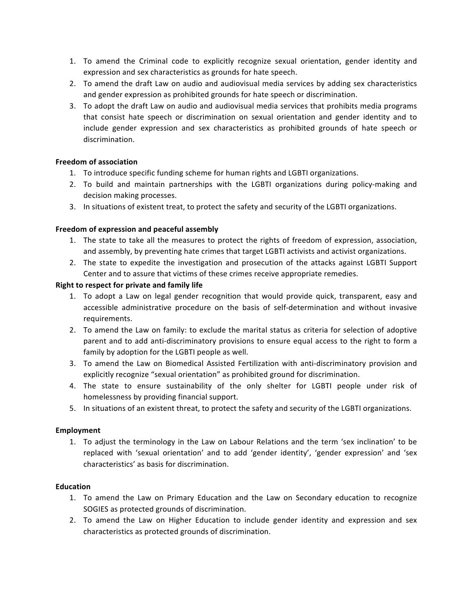- 1. To amend the Criminal code to explicitly recognize sexual orientation, gender identity and expression and sex characteristics as grounds for hate speech.
- 2. To amend the draft Law on audio and audiovisual media services by adding sex characteristics and gender expression as prohibited grounds for hate speech or discrimination.
- 3. To adopt the draft Law on audio and audiovisual media services that prohibits media programs that consist hate speech or discrimination on sexual orientation and gender identity and to include gender expression and sex characteristics as prohibited grounds of hate speech or discrimination.

# **Freedom of association**

- 1. To introduce specific funding scheme for human rights and LGBTI organizations.
- 2. To build and maintain partnerships with the LGBTI organizations during policy-making and decision making processes.
- 3. In situations of existent treat, to protect the safety and security of the LGBTI organizations.

### Freedom of expression and peaceful assembly

- 1. The state to take all the measures to protect the rights of freedom of expression, association, and assembly, by preventing hate crimes that target LGBTI activists and activist organizations.
- 2. The state to expedite the investigation and prosecution of the attacks against LGBTI Support Center and to assure that victims of these crimes receive appropriate remedies.

# **Right to respect for private and family life**

- 1. To adopt a Law on legal gender recognition that would provide quick, transparent, easy and accessible administrative procedure on the basis of self-determination and without invasive requirements.
- 2. To amend the Law on family: to exclude the marital status as criteria for selection of adoptive parent and to add anti-discriminatory provisions to ensure equal access to the right to form a family by adoption for the LGBTI people as well.
- 3. To amend the Law on Biomedical Assisted Fertilization with anti-discriminatory provision and explicitly recognize "sexual orientation" as prohibited ground for discrimination.
- 4. The state to ensure sustainability of the only shelter for LGBTI people under risk of homelessness by providing financial support.
- 5. In situations of an existent threat, to protect the safety and security of the LGBTI organizations.

### **Employment**

1. To adjust the terminology in the Law on Labour Relations and the term 'sex inclination' to be replaced with 'sexual orientation' and to add 'gender identity', 'gender expression' and 'sex characteristics' as basis for discrimination.

### **Education**

- 1. To amend the Law on Primary Education and the Law on Secondary education to recognize SOGIES as protected grounds of discrimination.
- 2. To amend the Law on Higher Education to include gender identity and expression and sex characteristics as protected grounds of discrimination.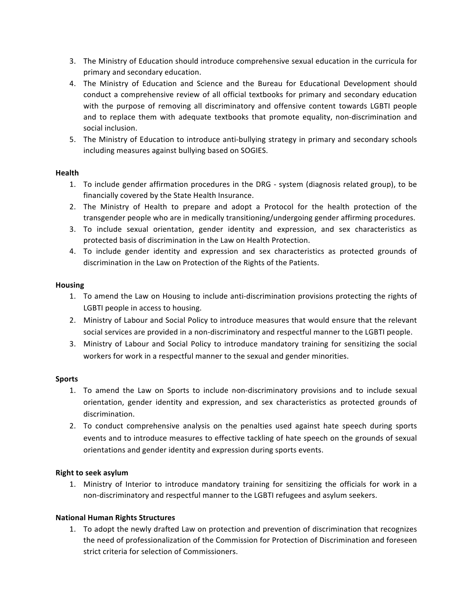- 3. The Ministry of Education should introduce comprehensive sexual education in the curricula for primary and secondary education.
- 4. The Ministry of Education and Science and the Bureau for Educational Development should conduct a comprehensive review of all official textbooks for primary and secondary education with the purpose of removing all discriminatory and offensive content towards LGBTI people and to replace them with adequate textbooks that promote equality, non-discrimination and social inclusion.
- 5. The Ministry of Education to introduce anti-bullying strategy in primary and secondary schools including measures against bullying based on SOGIES.

### **Health**

- 1. To include gender affirmation procedures in the DRG system (diagnosis related group), to be financially covered by the State Health Insurance.
- 2. The Ministry of Health to prepare and adopt a Protocol for the health protection of the transgender people who are in medically transitioning/undergoing gender affirming procedures.
- 3. To include sexual orientation, gender identity and expression, and sex characteristics as protected basis of discrimination in the Law on Health Protection.
- 4. To include gender identity and expression and sex characteristics as protected grounds of discrimination in the Law on Protection of the Rights of the Patients.

### **Housing**

- 1. To amend the Law on Housing to include anti-discrimination provisions protecting the rights of LGBTI people in access to housing.
- 2. Ministry of Labour and Social Policy to introduce measures that would ensure that the relevant social services are provided in a non-discriminatory and respectful manner to the LGBTI people.
- 3. Ministry of Labour and Social Policy to introduce mandatory training for sensitizing the social workers for work in a respectful manner to the sexual and gender minorities.

### **Sports**

- 1. To amend the Law on Sports to include non-discriminatory provisions and to include sexual orientation, gender identity and expression, and sex characteristics as protected grounds of discrimination.
- 2. To conduct comprehensive analysis on the penalties used against hate speech during sports events and to introduce measures to effective tackling of hate speech on the grounds of sexual orientations and gender identity and expression during sports events.

#### **Right to seek asylum**

1. Ministry of Interior to introduce mandatory training for sensitizing the officials for work in a non-discriminatory and respectful manner to the LGBTI refugees and asylum seekers.

### **National Human Rights Structures**

1. To adopt the newly drafted Law on protection and prevention of discrimination that recognizes the need of professionalization of the Commission for Protection of Discrimination and foreseen strict criteria for selection of Commissioners.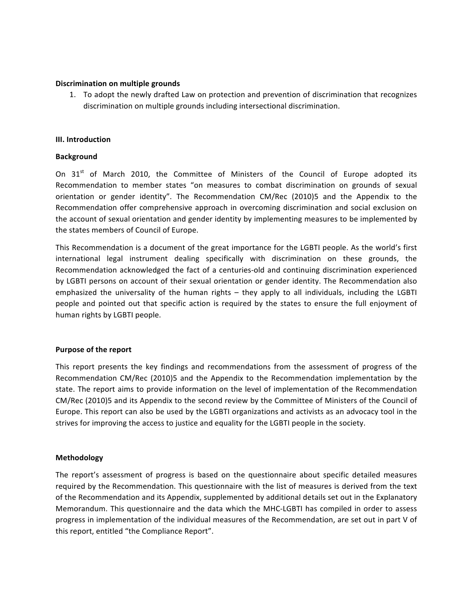### **Discrimination on multiple grounds**

1. To adopt the newly drafted Law on protection and prevention of discrimination that recognizes discrimination on multiple grounds including intersectional discrimination.

### **III. Introduction**

### **Background**

On  $31<sup>st</sup>$  of March 2010, the Committee of Ministers of the Council of Europe adopted its Recommendation to member states "on measures to combat discrimination on grounds of sexual orientation or gender identity". The Recommendation CM/Rec (2010)5 and the Appendix to the Recommendation offer comprehensive approach in overcoming discrimination and social exclusion on the account of sexual orientation and gender identity by implementing measures to be implemented by the states members of Council of Europe.

This Recommendation is a document of the great importance for the LGBTI people. As the world's first international legal instrument dealing specifically with discrimination on these grounds, the Recommendation acknowledged the fact of a centuries-old and continuing discrimination experienced by LGBTI persons on account of their sexual orientation or gender identity. The Recommendation also emphasized the universality of the human rights – they apply to all individuals, including the LGBTI people and pointed out that specific action is required by the states to ensure the full enjoyment of human rights by LGBTI people.

### **Purpose of the report**

This report presents the key findings and recommendations from the assessment of progress of the Recommendation CM/Rec (2010)5 and the Appendix to the Recommendation implementation by the state. The report aims to provide information on the level of implementation of the Recommendation CM/Rec (2010)5 and its Appendix to the second review by the Committee of Ministers of the Council of Europe. This report can also be used by the LGBTI organizations and activists as an advocacy tool in the strives for improving the access to justice and equality for the LGBTI people in the society.

### **Methodology**

The report's assessment of progress is based on the questionnaire about specific detailed measures required by the Recommendation. This questionnaire with the list of measures is derived from the text of the Recommendation and its Appendix, supplemented by additional details set out in the Explanatory Memorandum. This questionnaire and the data which the MHC-LGBTI has compiled in order to assess progress in implementation of the individual measures of the Recommendation, are set out in part V of this report, entitled "the Compliance Report".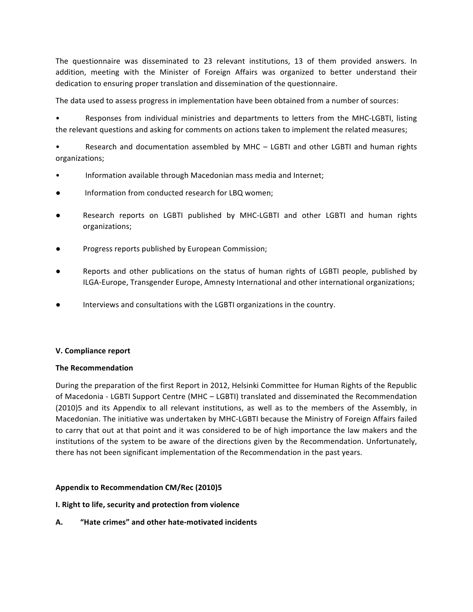The questionnaire was disseminated to 23 relevant institutions, 13 of them provided answers. In addition, meeting with the Minister of Foreign Affairs was organized to better understand their dedication to ensuring proper translation and dissemination of the questionnaire.

The data used to assess progress in implementation have been obtained from a number of sources:

Responses from individual ministries and departments to letters from the MHC-LGBTI, listing the relevant questions and asking for comments on actions taken to implement the related measures;

Research and documentation assembled by MHC - LGBTI and other LGBTI and human rights organizations;

- Information available through Macedonian mass media and Internet;
- $\bullet$  Information from conducted research for LBQ women;
- Research reports on LGBTI published by MHC-LGBTI and other LGBTI and human rights organizations;
- Progress reports published by European Commission;
- Reports and other publications on the status of human rights of LGBTI people, published by ILGA-Europe, Transgender Europe, Amnesty International and other international organizations;
- Interviews and consultations with the LGBTI organizations in the country.

### **V. Compliance report**

### **The Recommendation**

During the preparation of the first Report in 2012, Helsinki Committee for Human Rights of the Republic of Macedonia - LGBTI Support Centre (MHC – LGBTI) translated and disseminated the Recommendation (2010)5 and its Appendix to all relevant institutions, as well as to the members of the Assembly, in Macedonian. The initiative was undertaken by MHC-LGBTI because the Ministry of Foreign Affairs failed to carry that out at that point and it was considered to be of high importance the law makers and the institutions of the system to be aware of the directions given by the Recommendation. Unfortunately, there has not been significant implementation of the Recommendation in the past years.

#### Appendix to Recommendation CM/Rec (2010)5

#### **I. Right to life, security and protection from violence**

**A. "Hate crimes" and other hate-motivated incidents**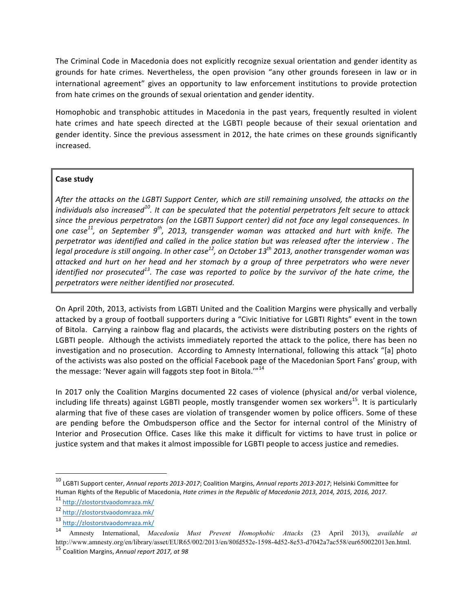The Criminal Code in Macedonia does not explicitly recognize sexual orientation and gender identity as grounds for hate crimes. Nevertheless, the open provision "any other grounds foreseen in law or in international agreement" gives an opportunity to law enforcement institutions to provide protection from hate crimes on the grounds of sexual orientation and gender identity.

Homophobic and transphobic attitudes in Macedonia in the past years, frequently resulted in violent hate crimes and hate speech directed at the LGBTI people because of their sexual orientation and gender identity. Since the previous assessment in 2012, the hate crimes on these grounds significantly increased. 

# **Case study**

After the attacks on the LGBTI Support Center, which are still remaining unsolved, the attacks on the *individuals also increased<sup>10</sup>.* It can be speculated that the potential perpetrators felt secure to attack since the previous perpetrators (on the LGBTI Support center) did not face any legal consequences. In *one* case<sup>11</sup>, on September 9<sup>th</sup>, 2013, transgender woman was attacked and hurt with knife. The *perpetrator* was identified and called in the police station but was released after the interview. The *legal procedure is still ongoing. In other case*<sup>12</sup>, on October 13<sup>th</sup> 2013, another transgender woman was *attacked and hurt on her head and her stomach by a group of three perpetrators who were never identified nor prosecuted<sup>13</sup>. The case was reported to police by the survivor of the hate crime, the* perpetrators were neither identified nor prosecuted.

On April 20th, 2013, activists from LGBTI United and the Coalition Margins were physically and verbally attacked by a group of football supporters during a "Civic Initiative for LGBTI Rights" event in the town of Bitola. Carrying a rainbow flag and placards, the activists were distributing posters on the rights of LGBTI people. Although the activists immediately reported the attack to the police, there has been no investigation and no prosecution. According to Amnesty International, following this attack "[a] photo of the activists was also posted on the official Facebook page of the Macedonian Sport Fans' group, with the message: 'Never again will faggots step foot in Bitola.'"<sup>14</sup>

In 2017 only the Coalition Margins documented 22 cases of violence (physical and/or verbal violence, including life threats) against LGBTI people, mostly transgender women sex workers<sup>15</sup>. It is particularly alarming that five of these cases are violation of transgender women by police officers. Some of these are pending before the Ombudsperson office and the Sector for internal control of the Ministry of Interior and Prosecution Office. Cases like this make it difficult for victims to have trust in police or justice system and that makes it almost impossible for LGBTI people to access justice and remedies.

<sup>&</sup>lt;sup>10</sup> LGBTI Support center, *Annual reports 2013-2017*; Coalition Margins, *Annual reports 2013-2017*; Helsinki Committee for Human Rights of the Republic of Macedonia, *Hate crimes in the Republic of Macedonia* 2013, 2014, 2015, 2016, 2017. <sup>11</sup> http://zlostorstvaodomraza.mk/

<sup>12</sup> http://zlostorstvaodomraza.mk/

<sup>13</sup> http://zlostorstvaodomraza.mk/

<sup>14</sup> Amnesty International, *Macedonia Must Prevent Homophobic Attacks* (23 April 2013), *available at*  http://www.amnesty.org/en/library/asset/EUR65/002/2013/en/80fd552e-1598-4d52-8e53-d7042a7ac558/eur650022013en.html.

<sup>15</sup> Coalition Margins, *Annual report 2017, at 98*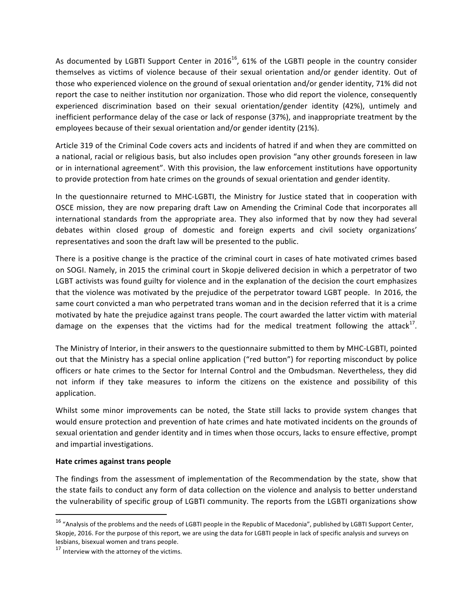As documented by LGBTI Support Center in  $2016^{16}$ , 61% of the LGBTI people in the country consider themselves as victims of violence because of their sexual orientation and/or gender identity. Out of those who experienced violence on the ground of sexual orientation and/or gender identity, 71% did not report the case to neither institution nor organization. Those who did report the violence, consequently experienced discrimination based on their sexual orientation/gender identity (42%), untimely and inefficient performance delay of the case or lack of response (37%), and inappropriate treatment by the employees because of their sexual orientation and/or gender identity (21%).

Article 319 of the Criminal Code covers acts and incidents of hatred if and when they are committed on a national, racial or religious basis, but also includes open provision "any other grounds foreseen in law or in international agreement". With this provision, the law enforcement institutions have opportunity to provide protection from hate crimes on the grounds of sexual orientation and gender identity.

In the questionnaire returned to MHC-LGBTI, the Ministry for Justice stated that in cooperation with OSCE mission, they are now preparing draft Law on Amending the Criminal Code that incorporates all international standards from the appropriate area. They also informed that by now they had several debates within closed group of domestic and foreign experts and civil society organizations' representatives and soon the draft law will be presented to the public.

There is a positive change is the practice of the criminal court in cases of hate motivated crimes based on SOGI. Namely, in 2015 the criminal court in Skopje delivered decision in which a perpetrator of two LGBT activists was found guilty for violence and in the explanation of the decision the court emphasizes that the violence was motivated by the prejudice of the perpetrator toward LGBT people. In 2016, the same court convicted a man who perpetrated trans woman and in the decision referred that it is a crime motivated by hate the prejudice against trans people. The court awarded the latter victim with material damage on the expenses that the victims had for the medical treatment following the attack<sup>17</sup>.

The Ministry of Interior, in their answers to the questionnaire submitted to them by MHC-LGBTI, pointed out that the Ministry has a special online application ("red button") for reporting misconduct by police officers or hate crimes to the Sector for Internal Control and the Ombudsman. Nevertheless, they did not inform if they take measures to inform the citizens on the existence and possibility of this application. 

Whilst some minor improvements can be noted, the State still lacks to provide system changes that would ensure protection and prevention of hate crimes and hate motivated incidents on the grounds of sexual orientation and gender identity and in times when those occurs, lacks to ensure effective, prompt and impartial investigations.

#### **Hate crimes against trans people**

<u> 1989 - Johann Stein, markin film yn y breninn y breninn y breninn y breninn y breninn y breninn y breninn y b</u>

The findings from the assessment of implementation of the Recommendation by the state, show that the state fails to conduct any form of data collection on the violence and analysis to better understand the vulnerability of specific group of LGBTI community. The reports from the LGBTI organizations show

 $16$  "Analysis of the problems and the needs of LGBTI people in the Republic of Macedonia", published by LGBTI Support Center, Skopje, 2016. For the purpose of this report, we are using the data for LGBTI people in lack of specific analysis and surveys on lesbians, bisexual women and trans people.

 $17$  Interview with the attorney of the victims.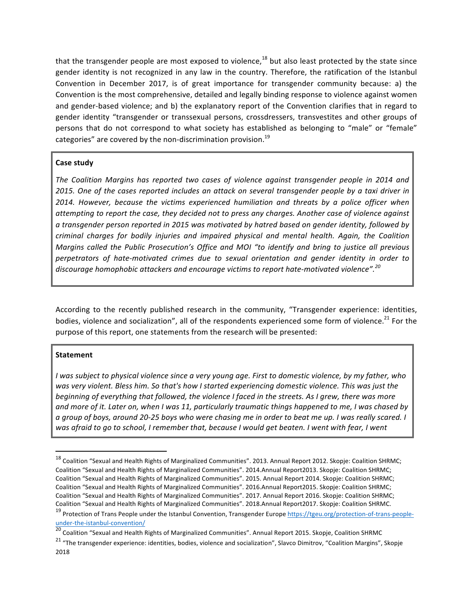that the transgender people are most exposed to violence,<sup>18</sup> but also least protected by the state since gender identity is not recognized in any law in the country. Therefore, the ratification of the Istanbul Convention in December 2017, is of great importance for transgender community because: a) the Convention is the most comprehensive, detailed and legally binding response to violence against women and gender-based violence; and b) the explanatory report of the Convention clarifies that in regard to gender identity "transgender or transsexual persons, crossdressers, transvestites and other groups of persons that do not correspond to what society has established as belonging to "male" or "female" categories" are covered by the non-discrimination provision. $^{19}$ 

### **Case study**

The Coalition Margins has reported two cases of violence against transgender people in 2014 and *2015.* One of the cases reported includes an attack on several transgender people by a taxi driver in *2014. However, because the victims experienced humiliation and threats by a police officer when* attempting to report the case, they decided not to press any charges. Another case of violence against a transgender person reported in 2015 was motivated by hatred based on gender identity, followed by *criminal charges for bodily injuries and impaired physical and mental health. Again, the Coalition Margins called the Public Prosecution's Office and MOI "to identify and bring to justice all previous perpetrators of hate-motivated crimes due to sexual orientation and gender identity in order to*  discourage homophobic attackers and encourage victims to report hate-motivated violence".<sup>20</sup>

According to the recently published research in the community, "Transgender experience: identities, bodies, violence and socialization", all of the respondents experienced some form of violence.<sup>21</sup> For the purpose of this report, one statements from the research will be presented:

#### **Statement**

*I* was subject to physical violence since a very young age. First to domestic violence, by my father, who was very violent. Bless him. So that's how I started experiencing domestic violence. This was just the *beginning* of *everything* that followed, the violence I faced in the streets. As I grew, there was more and more of it. Later on, when I was 11, particularly traumatic things happened to me, I was chased by *a* group of boys, around 20-25 boys who were chasing me in order to beat me up. I was really scared. I was afraid to go to school, I remember that, because I would get beaten. I went with fear, I went

under-the-istanbul-convention/

 

 $18$  Coalition "Sexual and Health Rights of Marginalized Communities". 2013. Annual Report 2012. Skopje: Coalition SHRMC; Coalition "Sexual and Health Rights of Marginalized Communities". 2014.Annual Report2013. Skopje: Coalition SHRMC; Coalition "Sexual and Health Rights of Marginalized Communities". 2015. Annual Report 2014. Skopje: Coalition SHRMC; Coalition "Sexual and Health Rights of Marginalized Communities". 2016.Annual Report2015. Skopje: Coalition SHRMC; Coalition "Sexual and Health Rights of Marginalized Communities". 2017. Annual Report 2016. Skopje: Coalition SHRMC; Coalition "Sexual and Health Rights of Marginalized Communities". 2018.Annual Report2017. Skopje: Coalition SHRMC. <sup>19</sup> Protection of Trans People under the Istanbul Convention, Transgender Europe https://tgeu.org/protection-of-trans-people-

<sup>&</sup>lt;sup>20</sup> Coalition "Sexual and Health Rights of Marginalized Communities". Annual Report 2015. Skopje, Coalition SHRMC

<sup>&</sup>lt;sup>21</sup> "The transgender experience: identities, bodies, violence and socialization", Slavco Dimitrov, "Coalition Margins", Skopje 2018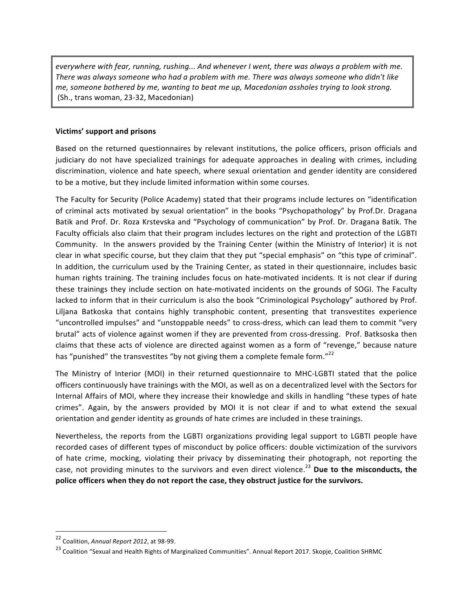*everywhere with fear, running, rushing... And whenever I went, there was always a problem with me.* There was always someone who had a problem with me. There was always someone who didn't like *me,* someone bothered by me, wanting to beat me up, Macedonian assholes trying to look strong. (Sh., trans woman, 23-32, Macedonian)

### **Victims' support and prisons**

Based on the returned questionnaires by relevant institutions, the police officers, prison officials and judiciary do not have specialized trainings for adequate approaches in dealing with crimes, including discrimination, violence and hate speech, where sexual orientation and gender identity are considered to be a motive, but they include limited information within some courses.

The Faculty for Security (Police Academy) stated that their programs include lectures on "identification of criminal acts motivated by sexual orientation" in the books "Psychopathology" by Prof.Dr. Dragana Batik and Prof. Dr. Roza Krstevska and "Psychology of communication" by Prof. Dr. Dragana Batik. The Faculty officials also claim that their program includes lectures on the right and protection of the LGBTI Community. In the answers provided by the Training Center (within the Ministry of Interior) it is not clear in what specific course, but they claim that they put "special emphasis" on "this type of criminal". In addition, the curriculum used by the Training Center, as stated in their questionnaire, includes basic human rights training. The training includes focus on hate-motivated incidents. It is not clear if during these trainings they include section on hate-motivated incidents on the grounds of SOGI. The Faculty lacked to inform that in their curriculum is also the book "Criminological Psychology" authored by Prof. Liljana Batkoska that contains highly transphobic content, presenting that transvestites experience "uncontrolled impulses" and "unstoppable needs" to cross-dress, which can lead them to commit "very brutal" acts of violence against women if they are prevented from cross-dressing. Prof. Batksoska then claims that these acts of violence are directed against women as a form of "revenge," because nature has "punished" the transvestites "by not giving them a complete female form."<sup>22</sup>

The Ministry of Interior (MOI) in their returned questionnaire to MHC-LGBTI stated that the police officers continuously have trainings with the MOI, as well as on a decentralized level with the Sectors for Internal Affairs of MOI, where they increase their knowledge and skills in handling "these types of hate crimes". Again, by the answers provided by MOI it is not clear if and to what extend the sexual orientation and gender identity as grounds of hate crimes are included in these trainings.

Nevertheless, the reports from the LGBTI organizations providing legal support to LGBTI people have recorded cases of different types of misconduct by police officers: double victimization of the survivors of hate crime, mocking, violating their privacy by disseminating their photograph, not reporting the case, not providing minutes to the survivors and even direct violence.<sup>23</sup> Due to the misconducts, the police officers when they do not report the case, they obstruct justice for the survivors.

<sup>&</sup>lt;u> 1989 - Johann Stein, markin film yn y breninn y breninn y breninn y breninn y breninn y breninn y breninn y b</u> <sup>22</sup> Coalition, *Annual Report 2012*, at 98-99.

 $^{23}$  Coalition "Sexual and Health Rights of Marginalized Communities". Annual Report 2017. Skopje, Coalition SHRMC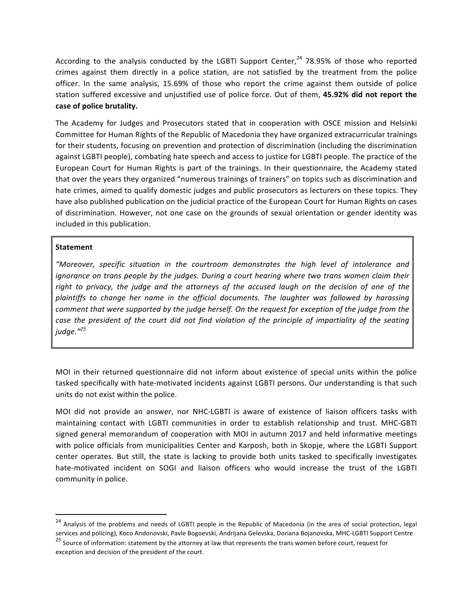According to the analysis conducted by the LGBTI Support Center,<sup>24</sup> 78.95% of those who reported crimes against them directly in a police station, are not satisfied by the treatment from the police officer. In the same analysis, 15.69% of those who report the crime against them outside of police station suffered excessive and unjustified use of police force. Out of them, 45.92% did not report the case of police brutality.

The Academy for Judges and Prosecutors stated that in cooperation with OSCE mission and Helsinki Committee for Human Rights of the Republic of Macedonia they have organized extracurricular trainings for their students, focusing on prevention and protection of discrimination (including the discrimination against LGBTI people), combating hate speech and access to justice for LGBTI people. The practice of the European Court for Human Rights is part of the trainings. In their questionnaire, the Academy stated that over the years they organized "numerous trainings of trainers" on topics such as discrimination and hate crimes, aimed to qualify domestic judges and public prosecutors as lecturers on these topics. They have also published publication on the judicial practice of the European Court for Human Rights on cases of discrimination. However, not one case on the grounds of sexual orientation or gender identity was included in this publication.

### **Statement**

<u> 1989 - Johann Stein, markin film yn y breninn y breninn y breninn y breninn y breninn y breninn y breninn y b</u>

*"Moreover, specific situation in the courtroom demonstrates the high level of intolerance and ignorance* on trans people by the judges. During a court hearing where two trans women claim their right to privacy, the judge and the attorneys of the accused laugh on the decision of one of the plaintiffs to change her name in the official documents. The laughter was followed by harassing *comment that were supported by the judge herself. On the request for exception of the judge from the case* the president of the court did not find violation of the principle of impartiality of the seating *judge."<sup>25</sup>*

MOI in their returned questionnaire did not inform about existence of special units within the police tasked specifically with hate-motivated incidents against LGBTI persons. Our understanding is that such units do not exist within the police.

MOI did not provide an answer, nor NHC-LGBTI is aware of existence of liaison officers tasks with maintaining contact with LGBTI communities in order to establish relationship and trust. MHC-GBTI signed general memorandum of cooperation with MOI in autumn 2017 and held informative meetings with police officials from municipalities Center and Karposh, both in Skopje, where the LGBTI Support center operates. But still, the state is lacking to provide both units tasked to specifically investigates hate-motivated incident on SOGI and liaison officers who would increase the trust of the LGBTI community in police.

<sup>&</sup>lt;sup>24</sup> Analysis of the problems and needs of LGBTI people in the Republic of Macedonia (in the area of social protection, legal services and policing), Koco Andonovski, Pavle Bogoevski, Andrijana Gelevska, Doriana Bojanovska, MHC-LGBTI Support Centre

 $25$  Source of information: statement by the attorney at law that represents the trans women before court, request for exception and decision of the president of the court.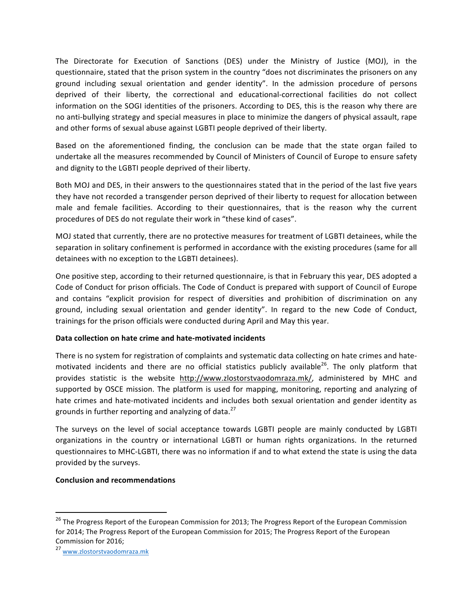The Directorate for Execution of Sanctions (DES) under the Ministry of Justice (MOJ), in the questionnaire, stated that the prison system in the country "does not discriminates the prisoners on any ground including sexual orientation and gender identity". In the admission procedure of persons deprived of their liberty, the correctional and educational-correctional facilities do not collect information on the SOGI identities of the prisoners. According to DES, this is the reason why there are no anti-bullying strategy and special measures in place to minimize the dangers of physical assault, rape and other forms of sexual abuse against LGBTI people deprived of their liberty.

Based on the aforementioned finding, the conclusion can be made that the state organ failed to undertake all the measures recommended by Council of Ministers of Council of Europe to ensure safety and dignity to the LGBTI people deprived of their liberty.

Both MOJ and DES, in their answers to the questionnaires stated that in the period of the last five years they have not recorded a transgender person deprived of their liberty to request for allocation between male and female facilities. According to their questionnaires, that is the reason why the current procedures of DES do not regulate their work in "these kind of cases".

MOJ stated that currently, there are no protective measures for treatment of LGBTI detainees, while the separation in solitary confinement is performed in accordance with the existing procedures (same for all detainees with no exception to the LGBTI detainees).

One positive step, according to their returned questionnaire, is that in February this year, DES adopted a Code of Conduct for prison officials. The Code of Conduct is prepared with support of Council of Europe and contains "explicit provision for respect of diversities and prohibition of discrimination on any ground, including sexual orientation and gender identity". In regard to the new Code of Conduct, trainings for the prison officials were conducted during April and May this year.

### **Data collection on hate crime and hate-motivated incidents**

There is no system for registration of complaints and systematic data collecting on hate crimes and hatemotivated incidents and there are no official statistics publicly available<sup>26</sup>. The only platform that provides statistic is the website http://www.zlostorstvaodomraza.mk/, administered by MHC and supported by OSCE mission. The platform is used for mapping, monitoring, reporting and analyzing of hate crimes and hate-motivated incidents and includes both sexual orientation and gender identity as grounds in further reporting and analyzing of data.<sup>27</sup>

The surveys on the level of social acceptance towards LGBTI people are mainly conducted by LGBTI organizations in the country or international LGBTI or human rights organizations. In the returned questionnaires to MHC-LGBTI, there was no information if and to what extend the state is using the data provided by the surveys.

# **Conclusion and recommendations**

<sup>&</sup>lt;sup>26</sup> The Progress Report of the European Commission for 2013; The Progress Report of the European Commission for 2014; The Progress Report of the European Commission for 2015; The Progress Report of the European Commission for 2016:

<sup>27</sup> www.zlostorstvaodomraza.mk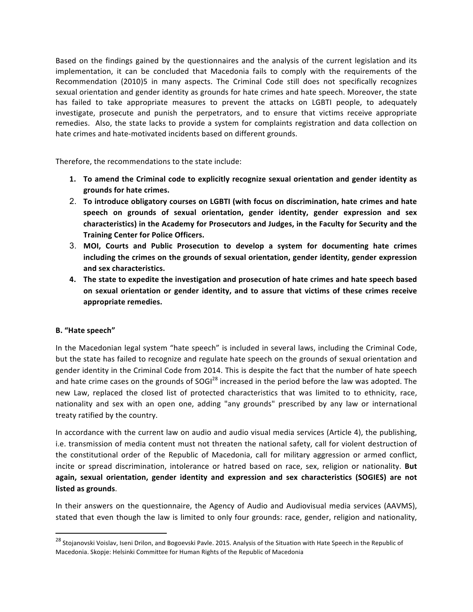Based on the findings gained by the questionnaires and the analysis of the current legislation and its implementation, it can be concluded that Macedonia fails to comply with the requirements of the Recommendation (2010)5 in many aspects. The Criminal Code still does not specifically recognizes sexual orientation and gender identity as grounds for hate crimes and hate speech. Moreover, the state has failed to take appropriate measures to prevent the attacks on LGBTI people, to adequately investigate, prosecute and punish the perpetrators, and to ensure that victims receive appropriate remedies. Also, the state lacks to provide a system for complaints registration and data collection on hate crimes and hate-motivated incidents based on different grounds.

Therefore, the recommendations to the state include:

- 1. To amend the Criminal code to explicitly recognize sexual orientation and gender identity as **grounds for hate crimes.**
- 2. To introduce obligatory courses on LGBTI (with focus on discrimination, hate crimes and hate speech on grounds of sexual orientation, gender identity, gender expression and sex characteristics) in the Academy for Prosecutors and Judges, in the Faculty for Security and the **Training Center for Police Officers.**
- 3. MOI, Courts and Public Prosecution to develop a system for documenting hate crimes including the crimes on the grounds of sexual orientation, gender identity, gender expression **and sex characteristics.**
- 4. The state to expedite the investigation and prosecution of hate crimes and hate speech based on sexual orientation or gender identity, and to assure that victims of these crimes receive appropriate remedies.

### **B. "Hate speech"**

<u> 1989 - Johann Stein, markin film yn y breninn y breninn y breninn y breninn y breninn y breninn y breninn y b</u>

In the Macedonian legal system "hate speech" is included in several laws, including the Criminal Code, but the state has failed to recognize and regulate hate speech on the grounds of sexual orientation and gender identity in the Criminal Code from 2014. This is despite the fact that the number of hate speech and hate crime cases on the grounds of  $SOGI^{28}$  increased in the period before the law was adopted. The new Law, replaced the closed list of protected characteristics that was limited to to ethnicity, race, nationality and sex with an open one, adding "any grounds" prescribed by any law or international treaty ratified by the country.

In accordance with the current law on audio and audio visual media services (Article 4), the publishing, i.e. transmission of media content must not threaten the national safety, call for violent destruction of the constitutional order of the Republic of Macedonia, call for military aggression or armed conflict, incite or spread discrimination, intolerance or hatred based on race, sex, religion or nationality. But again, sexual orientation, gender identity and expression and sex characteristics (SOGIES) are not **listed as grounds**. 

In their answers on the questionnaire, the Agency of Audio and Audiovisual media services (AAVMS), stated that even though the law is limited to only four grounds: race, gender, religion and nationality,

 $^{28}$  Stojanovski Voislav, Iseni Drilon, and Bogoevski Pavle. 2015. Analysis of the Situation with Hate Speech in the Republic of Macedonia. Skopje: Helsinki Committee for Human Rights of the Republic of Macedonia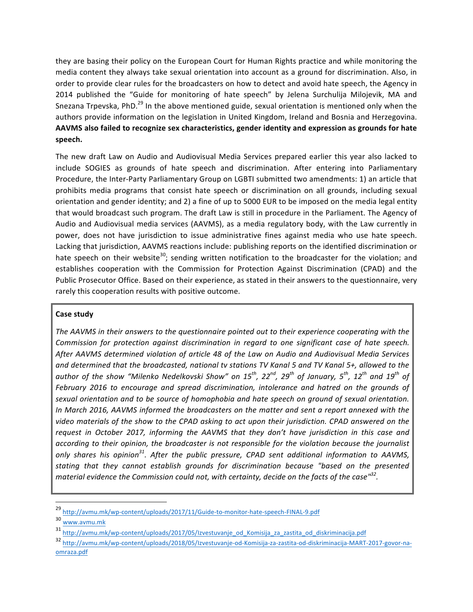they are basing their policy on the European Court for Human Rights practice and while monitoring the media content they always take sexual orientation into account as a ground for discrimination. Also, in order to provide clear rules for the broadcasters on how to detect and avoid hate speech, the Agency in 2014 published the "Guide for monitoring of hate speech" by Jelena Surchulija Milojevik, MA and Snezana Trpevska, PhD.<sup>29</sup> In the above mentioned guide, sexual orientation is mentioned only when the authors provide information on the legislation in United Kingdom, Ireland and Bosnia and Herzegovina. AAVMS also failed to recognize sex characteristics, gender identity and expression as grounds for hate **speech.** 

The new draft Law on Audio and Audiovisual Media Services prepared earlier this year also lacked to include SOGIES as grounds of hate speech and discrimination. After entering into Parliamentary Procedure, the Inter-Party Parliamentary Group on LGBTI submitted two amendments: 1) an article that prohibits media programs that consist hate speech or discrimination on all grounds, including sexual orientation and gender identity; and 2) a fine of up to 5000 EUR to be imposed on the media legal entity that would broadcast such program. The draft Law is still in procedure in the Parliament. The Agency of Audio and Audiovisual media services (AAVMS), as a media regulatory body, with the Law currently in power, does not have jurisdiction to issue administrative fines against media who use hate speech. Lacking that jurisdiction, AAVMS reactions include: publishing reports on the identified discrimination or hate speech on their website<sup>30</sup>; sending written notification to the broadcaster for the violation; and establishes cooperation with the Commission for Protection Against Discrimination (CPAD) and the Public Prosecutor Office. Based on their experience, as stated in their answers to the questionnaire, very rarely this cooperation results with positive outcome.

### **Case study**

The AAVMS in their answers to the questionnaire pointed out to their experience cooperating with the *Commission for protection against discrimination in regard to one significant case of hate speech.* After AAVMS determined violation of article 48 of the Law on Audio and Audiovisual Media Services and determined that the broadcasted, national tv stations TV Kanal 5 and TV Kanal 5+, allowed to the *author* of the show "Milenko Nedelkovski Show" on 15<sup>th</sup>, 22<sup>nd</sup>, 29<sup>th</sup> of January, 5<sup>th</sup>, 12<sup>th</sup> and 19<sup>th</sup> of February 2016 to encourage and spread discrimination, intolerance and hatred on the grounds of sexual orientation and to be source of homophobia and hate speech on ground of sexual orientation. In March 2016, AAVMS informed the broadcasters on the matter and sent a report annexed with the video materials of the show to the CPAD asking to act upon their jurisdiction. CPAD answered on the request in October 2017, informing the AAVMS that they don't have jurisdiction in this case and *according* to their opinion, the broadcaster is not responsible for the violation because the journalist *only* shares his opinion<sup>31</sup>. After the public pressure, CPAD sent additional information to AAVMS, stating that they cannot establish grounds for discrimination because "based on the presented *material evidence the Commission could not, with certainty, decide on the facts of the case*<sup>132</sup>.

<sup>29</sup> http://avmu.mk/wp-content/uploads/2017/11/Guide-to-monitor-hate-speech-FINAL-9.pdf

<sup>30</sup> www.avmu.mk

<sup>31</sup> http://avmu.mk/wp-content/uploads/2017/05/Izvestuvanje\_od\_Komisija\_za\_zastita\_od\_diskriminacija.pdf

<sup>32</sup> http://avmu.mk/wp-content/uploads/2018/05/Izvestuvanje-od-Komisija-za-zastita-od-diskriminacija-MART-2017-govor-naomraza.pdf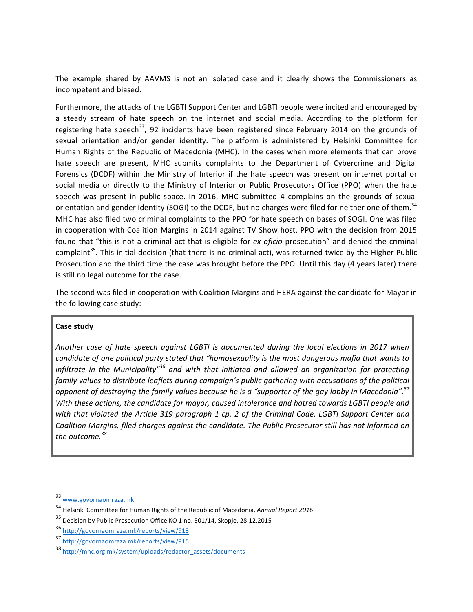The example shared by AAVMS is not an isolated case and it clearly shows the Commissioners as incompetent and biased.

Furthermore, the attacks of the LGBTI Support Center and LGBTI people were incited and encouraged by a steady stream of hate speech on the internet and social media. According to the platform for registering hate speech<sup>33</sup>, 92 incidents have been registered since February 2014 on the grounds of sexual orientation and/or gender identity. The platform is administered by Helsinki Committee for Human Rights of the Republic of Macedonia (MHC). In the cases when more elements that can prove hate speech are present, MHC submits complaints to the Department of Cybercrime and Digital Forensics (DCDF) within the Ministry of Interior if the hate speech was present on internet portal or social media or directly to the Ministry of Interior or Public Prosecutors Office (PPO) when the hate speech was present in public space. In 2016, MHC submitted 4 complains on the grounds of sexual orientation and gender identity (SOGI) to the DCDF, but no charges were filed for neither one of them.<sup>34</sup> MHC has also filed two criminal complaints to the PPO for hate speech on bases of SOGI. One was filed in cooperation with Coalition Margins in 2014 against TV Show host. PPO with the decision from 2015 found that "this is not a criminal act that is eligible for *ex oficio* prosecution" and denied the criminal complaint<sup>35</sup>. This initial decision (that there is no criminal act), was returned twice by the Higher Public Prosecution and the third time the case was brought before the PPO. Until this day (4 years later) there is still no legal outcome for the case.

The second was filed in cooperation with Coalition Margins and HERA against the candidate for Mayor in the following case study:

### **Case study**

Another case of hate speech against LGBTI is documented during the local elections in 2017 when *candidate of one political party stated that "homosexuality is the most dangerous mafia that wants to infiltrate* in the Municipality"<sup>36</sup> and with that initiated and allowed an organization for protecting family values to distribute leaflets during campaign's public gathering with accusations of the political *opponent of destroying the family values because he is a "supporter of the gay lobby in Macedonia".*<sup>37</sup> With these actions, the candidate for mayor, caused intolerance and hatred towards LGBTI people and *with* that violated the Article 319 paragraph 1 cp. 2 of the Criminal Code. LGBTI Support Center and Coalition Margins, filed charges against the candidate. The Public Prosecutor still has not informed on the outcome.<sup>38</sup>

 

<sup>33</sup> www.govornaomraza.mk

<sup>&</sup>lt;sup>34</sup> Helsinki Committee for Human Rights of the Republic of Macedonia, *Annual Report 2016* 

<sup>&</sup>lt;sup>35</sup> Decision by Public Prosecution Office KO 1 no. 501/14, Skopje, 28.12.2015

<sup>36</sup> http://govornaomraza.mk/reports/view/913

<sup>37</sup> http://govornaomraza.mk/reports/view/915

<sup>38</sup> http://mhc.org.mk/system/uploads/redactor\_assets/documents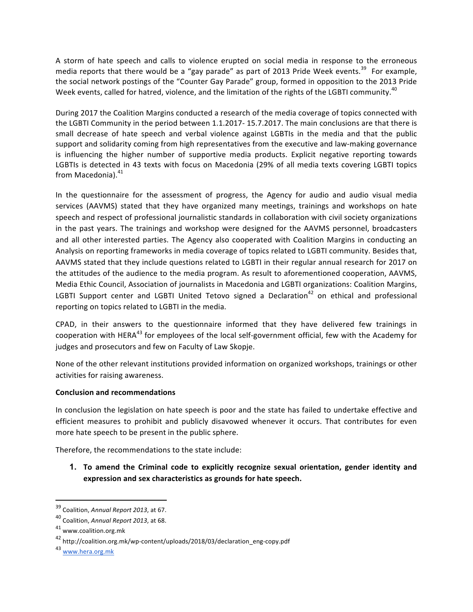A storm of hate speech and calls to violence erupted on social media in response to the erroneous media reports that there would be a "gay parade" as part of 2013 Pride Week events.<sup>39</sup> For example, the social network postings of the "Counter Gay Parade" group, formed in opposition to the 2013 Pride Week events, called for hatred, violence, and the limitation of the rights of the LGBTI community.<sup>40</sup>

During 2017 the Coalition Margins conducted a research of the media coverage of topics connected with the LGBTI Community in the period between 1.1.2017- 15.7.2017. The main conclusions are that there is small decrease of hate speech and verbal violence against LGBTIs in the media and that the public support and solidarity coming from high representatives from the executive and law-making governance is influencing the higher number of supportive media products. Explicit negative reporting towards LGBTIs is detected in 43 texts with focus on Macedonia (29% of all media texts covering LGBTI topics from Macedonia).<sup>41</sup>

In the questionnaire for the assessment of progress, the Agency for audio and audio visual media services (AAVMS) stated that they have organized many meetings, trainings and workshops on hate speech and respect of professional journalistic standards in collaboration with civil society organizations in the past years. The trainings and workshop were designed for the AAVMS personnel, broadcasters and all other interested parties. The Agency also cooperated with Coalition Margins in conducting an Analysis on reporting frameworks in media coverage of topics related to LGBTI community. Besides that, AAVMS stated that they include questions related to LGBTI in their regular annual research for 2017 on the attitudes of the audience to the media program. As result to aforementioned cooperation, AAVMS, Media Ethic Council, Association of journalists in Macedonia and LGBTI organizations: Coalition Margins, LGBTI Support center and LGBTI United Tetovo signed a Declaration<sup>42</sup> on ethical and professional reporting on topics related to LGBTI in the media.

CPAD, in their answers to the questionnaire informed that they have delivered few trainings in cooperation with HERA<sup>43</sup> for employees of the local self-government official, few with the Academy for judges and prosecutors and few on Faculty of Law Skopje.

None of the other relevant institutions provided information on organized workshops, trainings or other activities for raising awareness.

### **Conclusion and recommendations**

In conclusion the legislation on hate speech is poor and the state has failed to undertake effective and efficient measures to prohibit and publicly disavowed whenever it occurs. That contributes for even more hate speech to be present in the public sphere.

Therefore, the recommendations to the state include:

**1.** To amend the Criminal code to explicitly recognize sexual orientation, gender identity and expression and sex characteristics as grounds for hate speech.

 <sup>39</sup> Coalition, Annual Report 2013, at 67.

<sup>&</sup>lt;sup>40</sup> Coalition, Annual Report 2013, at 68.

<sup>41</sup> www.coalition.org.mk

<sup>42</sup> http://coalition.org.mk/wp-content/uploads/2018/03/declaration\_eng-copy.pdf

<sup>43</sup> www.hera.org.mk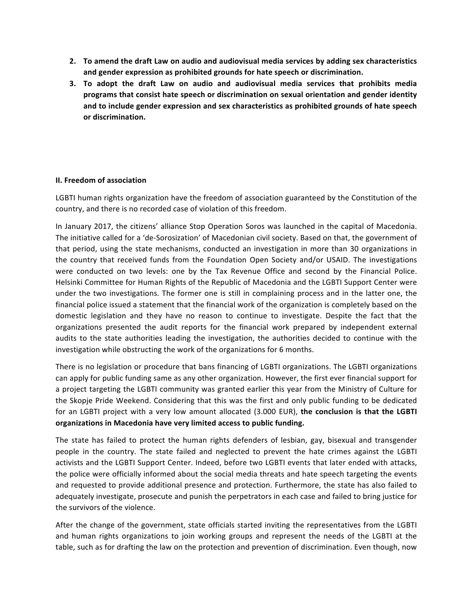- **2.** To amend the draft Law on audio and audiovisual media services by adding sex characteristics and gender expression as prohibited grounds for hate speech or discrimination.
- **3.** To adopt the draft Law on audio and audiovisual media services that prohibits media programs that consist hate speech or discrimination on sexual orientation and gender identity and to include gender expression and sex characteristics as prohibited grounds of hate speech **or discrimination.**

### **II. Freedom of association**

LGBTI human rights organization have the freedom of association guaranteed by the Constitution of the country, and there is no recorded case of violation of this freedom.

In January 2017, the citizens' alliance Stop Operation Soros was launched in the capital of Macedonia. The initiative called for a 'de-Sorosization' of Macedonian civil society. Based on that, the government of that period, using the state mechanisms, conducted an investigation in more than 30 organizations in the country that received funds from the Foundation Open Society and/or USAID. The investigations were conducted on two levels: one by the Tax Revenue Office and second by the Financial Police. Helsinki Committee for Human Rights of the Republic of Macedonia and the LGBTI Support Center were under the two investigations. The former one is still in complaining process and in the latter one, the financial police issued a statement that the financial work of the organization is completely based on the domestic legislation and they have no reason to continue to investigate. Despite the fact that the organizations presented the audit reports for the financial work prepared by independent external audits to the state authorities leading the investigation, the authorities decided to continue with the investigation while obstructing the work of the organizations for 6 months.

There is no legislation or procedure that bans financing of LGBTI organizations. The LGBTI organizations can apply for public funding same as any other organization. However, the first ever financial support for a project targeting the LGBTI community was granted earlier this year from the Ministry of Culture for the Skopje Pride Weekend. Considering that this was the first and only public funding to be dedicated for an LGBTI project with a very low amount allocated (3.000 EUR), the conclusion is that the LGBTI organizations in Macedonia have very limited access to public funding.

The state has failed to protect the human rights defenders of lesbian, gay, bisexual and transgender people in the country. The state failed and neglected to prevent the hate crimes against the LGBTI activists and the LGBTI Support Center. Indeed, before two LGBTI events that later ended with attacks, the police were officially informed about the social media threats and hate speech targeting the events and requested to provide additional presence and protection. Furthermore, the state has also failed to adequately investigate, prosecute and punish the perpetrators in each case and failed to bring justice for the survivors of the violence.

After the change of the government, state officials started inviting the representatives from the LGBTI and human rights organizations to join working groups and represent the needs of the LGBTI at the table, such as for drafting the law on the protection and prevention of discrimination. Even though, now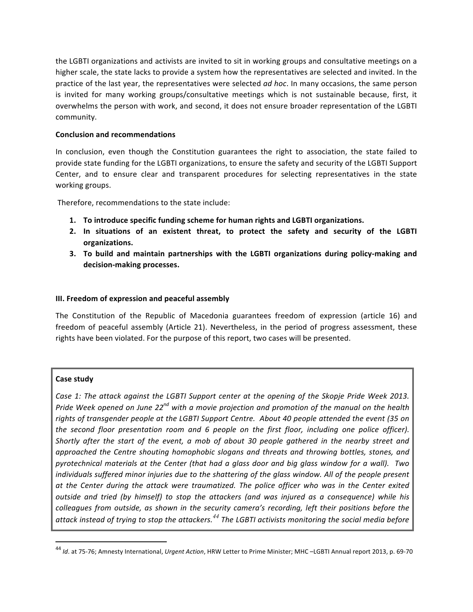the LGBTI organizations and activists are invited to sit in working groups and consultative meetings on a higher scale, the state lacks to provide a system how the representatives are selected and invited. In the practice of the last year, the representatives were selected *ad hoc*. In many occasions, the same person is invited for many working groups/consultative meetings which is not sustainable because, first, it overwhelms the person with work, and second, it does not ensure broader representation of the LGBTI community.

### **Conclusion and recommendations**

In conclusion, even though the Constitution guarantees the right to association, the state failed to provide state funding for the LGBTI organizations, to ensure the safety and security of the LGBTI Support Center, and to ensure clear and transparent procedures for selecting representatives in the state working groups.

Therefore, recommendations to the state include:

- 1. To introduce specific funding scheme for human rights and LGBTI organizations.
- **2.** In situations of an existent threat, to protect the safety and security of the LGBTI **organizations.**
- **3.** To build and maintain partnerships with the LGBTI organizations during policy-making and **decision-making processes.**

### **III. Freedom of expression and peaceful assembly**

The Constitution of the Republic of Macedonia guarantees freedom of expression (article 16) and freedom of peaceful assembly (Article 21). Nevertheless, in the period of progress assessment, these rights have been violated. For the purpose of this report, two cases will be presented.

### **Case study**

<u> 1989 - Johann Stein, markin film yn y breninn y breninn y breninn y breninn y breninn y breninn y breninn y b</u>

*Case 1:* The attack against the LGBTI Support center at the opening of the Skopje Pride Week 2013. *Pride* Week opened on June 22<sup>nd</sup> with a movie projection and promotion of the manual on the health rights of transgender people at the LGBTI Support Centre. About 40 people attended the event (35 on the second floor presentation room and 6 people on the first floor, including one police officer). *Shortly* after the start of the event, a mob of about 30 people gathered in the nearby street and *approached the Centre shouting homophobic slogans and threats and throwing bottles, stones, and pyrotechnical materials at the Center (that had a glass door and big glass window for a wall). Two individuals suffered minor injuries due to the shattering of the glass window. All of the people present* at the Center during the attack were traumatized. The police officer who was in the Center exited *outside and tried (by himself)* to stop the attackers (and was injured as a consequence) while his *colleagues from outside, as shown in the security camera's recording, left their positions before the attack instead of trying to stop the attackers.<sup>44</sup> The LGBTI activists monitoring the social media before* 

<sup>&</sup>lt;sup>44</sup> *Id.* at 75-76; Amnesty International, *Urgent Action*, HRW Letter to Prime Minister; MHC -LGBTI Annual report 2013, p. 69-70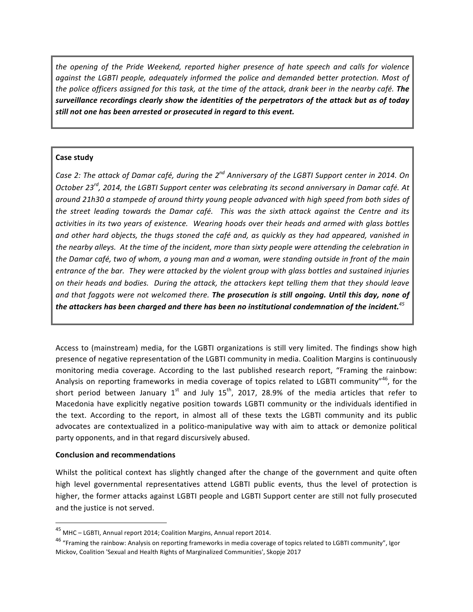*the opening of the Pride Weekend, reported higher presence of hate speech and calls for violence against the LGBTI people, adequately informed the police and demanded better protection. Most of the police officers assigned for this task, at the time of the attack, drank beer in the nearby café.* **The** surveillance recordings clearly show the *identities* of the perpetrators of the attack but as of today still not one has been arrested or prosecuted in regard to this event.

# **Case study**

*Case 2: The attack of Damar café, during the 2<sup>nd</sup> Anniversary of the LGBTI Support center in 2014. On* October 23<sup>rd</sup>, 2014, the LGBTI Support center was celebrating its second anniversary in Damar café. At around 21h30 a stampede of around thirty young people advanced with high speed from both sides of *the street leading towards the Damar café. This was the sixth attack against the Centre and its* activities in its two years of existence. Wearing hoods over their heads and armed with glass bottles and other hard objects, the thugs stoned the café and, as quickly as they had appeared, vanished in the nearby alleys. At the time of the incident, more than sixty people were attending the celebration in the Damar café, two of whom, a young man and a woman, were standing outside in front of the main *entrance of the bar. They were attacked by the violent group with glass bottles and sustained injuries* on their heads and bodies. During the attack, the attackers kept telling them that they should leave and that faggots were not welcomed there. The prosecution is still ongoing. Until this day, none of the attackers has been charged and there has been no institutional condemnation of the incident.<sup>45</sup>

Access to (mainstream) media, for the LGBTI organizations is still very limited. The findings show high presence of negative representation of the LGBTI community in media. Coalition Margins is continuously monitoring media coverage. According to the last published research report, "Framing the rainbow: Analysis on reporting frameworks in media coverage of topics related to LGBTI community"<sup>46</sup>, for the short period between January  $1^{st}$  and July  $15^{th}$ , 2017, 28.9% of the media articles that refer to Macedonia have explicitly negative position towards LGBTI community or the individuals identified in the text. According to the report, in almost all of these texts the LGBTI community and its public advocates are contextualized in a politico-manipulative way with aim to attack or demonize political party opponents, and in that regard discursively abused.

### **Conclusion and recommendations**

 

Whilst the political context has slightly changed after the change of the government and quite often high level governmental representatives attend LGBTI public events, thus the level of protection is higher, the former attacks against LGBTI people and LGBTI Support center are still not fully prosecuted and the justice is not served.

<sup>&</sup>lt;sup>45</sup> MHC – LGBTI, Annual report 2014; Coalition Margins, Annual report 2014.

 $^{46}$  "Framing the rainbow: Analysis on reporting frameworks in media coverage of topics related to LGBTI community", Igor Mickov, Coalition 'Sexual and Health Rights of Marginalized Communities', Skopje 2017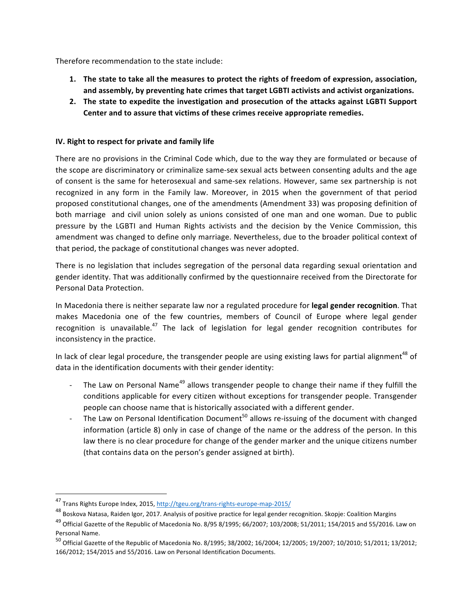Therefore recommendation to the state include:

- 1. The state to take all the measures to protect the rights of freedom of expression, association, and assembly, by preventing hate crimes that target LGBTI activists and activist organizations.
- 2. The state to expedite the investigation and prosecution of the attacks against LGBTI Support Center and to assure that victims of these crimes receive appropriate remedies.

# **IV.** Right to respect for private and family life

There are no provisions in the Criminal Code which, due to the way they are formulated or because of the scope are discriminatory or criminalize same-sex sexual acts between consenting adults and the age of consent is the same for heterosexual and same-sex relations. However, same sex partnership is not recognized in any form in the Family law. Moreover, in 2015 when the government of that period proposed constitutional changes, one of the amendments (Amendment 33) was proposing definition of both marriage and civil union solely as unions consisted of one man and one woman. Due to public pressure by the LGBTI and Human Rights activists and the decision by the Venice Commission, this amendment was changed to define only marriage. Nevertheless, due to the broader political context of that period, the package of constitutional changes was never adopted.

There is no legislation that includes segregation of the personal data regarding sexual orientation and gender identity. That was additionally confirmed by the questionnaire received from the Directorate for Personal Data Protection.

In Macedonia there is neither separate law nor a regulated procedure for legal gender recognition. That makes Macedonia one of the few countries, members of Council of Europe where legal gender recognition is unavailable.<sup>47</sup> The lack of legislation for legal gender recognition contributes for inconsistency in the practice.

In lack of clear legal procedure, the transgender people are using existing laws for partial alignment<sup>48</sup> of data in the identification documents with their gender identity:

- The Law on Personal Name<sup>49</sup> allows transgender people to change their name if they fulfill the conditions applicable for every citizen without exceptions for transgender people. Transgender people can choose name that is historically associated with a different gender.
- The Law on Personal Identification Document<sup>50</sup> allows re-issuing of the document with changed information (article 8) only in case of change of the name or the address of the person. In this law there is no clear procedure for change of the gender marker and the unique citizens number (that contains data on the person's gender assigned at birth).

<sup>47</sup> Trans Rights Europe Index, 2015, http://tgeu.org/trans-rights-europe-map-2015/

<sup>&</sup>lt;sup>48</sup> Boskova Natasa, Raiden Igor, 2017. Analysis of positive practice for legal gender recognition. Skopje: Coalition Margins

 $^{49}$  Official Gazette of the Republic of Macedonia No. 8/95 8/1995; 66/2007; 103/2008; 51/2011; 154/2015 and 55/2016. Law on Personal Name.

<sup>50</sup> Official Gazette of the Republic of Macedonia No. 8/1995; 38/2002; 16/2004; 12/2005; 19/2007; 10/2010; 51/2011; 13/2012; 166/2012; 154/2015 and 55/2016. Law on Personal Identification Documents.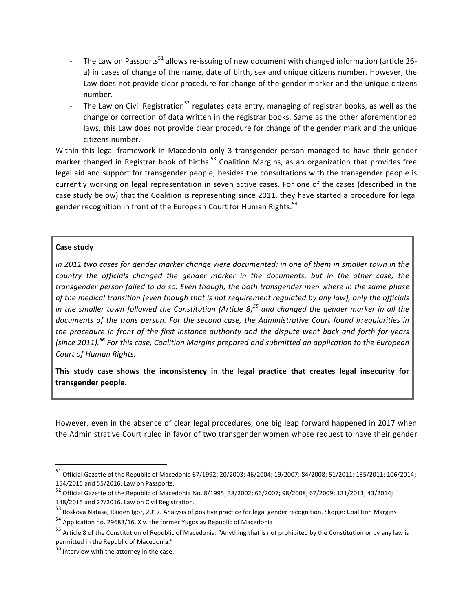- The Law on Passports<sup>51</sup> allows re-issuing of new document with changed information (article 26a) in cases of change of the name, date of birth, sex and unique citizens number. However, the Law does not provide clear procedure for change of the gender marker and the unique citizens number.
- The Law on Civil Registration<sup>52</sup> regulates data entry, managing of registrar books, as well as the change or correction of data written in the registrar books. Same as the other aforementioned laws, this Law does not provide clear procedure for change of the gender mark and the unique citizens number.

Within this legal framework in Macedonia only 3 transgender person managed to have their gender marker changed in Registrar book of births.<sup>53</sup> Coalition Margins, as an organization that provides free legal aid and support for transgender people, besides the consultations with the transgender people is currently working on legal representation in seven active cases. For one of the cases (described in the case study below) that the Coalition is representing since 2011, they have started a procedure for legal gender recognition in front of the European Court for Human Rights.<sup>54</sup>

# **Case study**

*In* 2011 two cases for gender marker change were documented: in one of them in smaller town in the *country* the officials changed the gender marker in the documents, but in the other case, the transgender person failed to do so. Even though, the both transgender men where in the same phase of the medical transition (even though that is not requirement regulated by any law), only the officials *in* the smaller town followed the Constitution (Article 8)<sup>55</sup> and changed the gender marker in all the documents of the trans person. For the second case, the Administrative Court found irregularities in *the procedure in front of the first instance authority and the dispute went back and forth for years (since 2011).<sup>56</sup> For this case, Coalition Margins prepared and submitted an application to the European Court of Human Rights.*

This study case shows the inconsistency in the legal practice that creates legal insecurity for **transgender people.** 

However, even in the absence of clear legal procedures, one big leap forward happened in 2017 when the Administrative Court ruled in favor of two transgender women whose request to have their gender

 $^{51}$  Official Gazette of the Republic of Macedonia 67/1992; 20/2003; 46/2004; 19/2007; 84/2008; 51/2011; 135/2011; 106/2014; 154/2015 and 55/2016. Law on Passports.

<sup>52</sup> Official Gazette of the Republic of Macedonia No. 8/1995; 38/2002; 66/2007; 98/2008; 67/2009; 131/2013; 43/2014; 148/2015 and 27/2016. Law on Civil Registration.

<sup>53</sup> Boskova Natasa, Raiden Igor, 2017. Analysis of positive practice for legal gender recognition. Skopje: Coalition Margins

 $54$  Application no. 29683/16, X v. the former Yugoslav Republic of Macedonia

 $55$  Article 8 of the Constitution of Republic of Macedonia: "Anything that is not prohibited by the Constitution or by any law is permitted in the Republic of Macedonia."

 $^{56}$  Interview with the attorney in the case.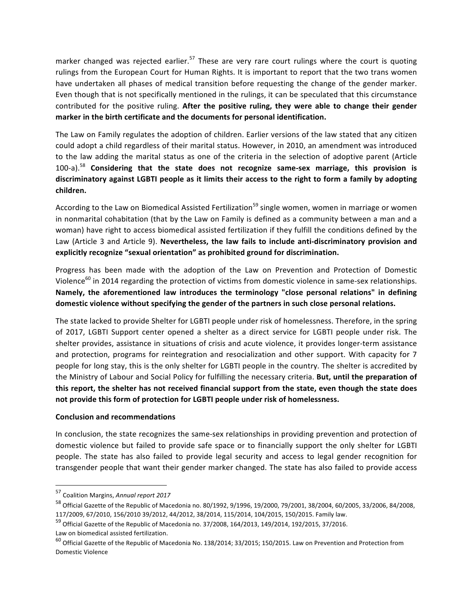marker changed was rejected earlier.<sup>57</sup> These are very rare court rulings where the court is quoting rulings from the European Court for Human Rights. It is important to report that the two trans women have undertaken all phases of medical transition before requesting the change of the gender marker. Even though that is not specifically mentioned in the rulings, it can be speculated that this circumstance contributed for the positive ruling. After the positive ruling, they were able to change their gender marker in the birth certificate and the documents for personal identification.

The Law on Family regulates the adoption of children. Earlier versions of the law stated that any citizen could adopt a child regardless of their marital status. However, in 2010, an amendment was introduced to the law adding the marital status as one of the criteria in the selection of adoptive parent (Article 100-a).<sup>58</sup> Considering that the state does not recognize same-sex marriage, this provision is discriminatory against LGBTI people as it limits their access to the right to form a family by adopting **children.**

According to the Law on Biomedical Assisted Fertilization<sup>59</sup> single women, women in marriage or women in nonmarital cohabitation (that by the Law on Family is defined as a community between a man and a woman) have right to access biomedical assisted fertilization if they fulfill the conditions defined by the Law (Article 3 and Article 9). Nevertheless, the law fails to include anti-discriminatory provision and explicitly recognize "sexual orientation" as prohibited ground for discrimination.

Progress has been made with the adoption of the Law on Prevention and Protection of Domestic Violence<sup>60</sup> in 2014 regarding the protection of victims from domestic violence in same-sex relationships. Namely, the aforementioned law introduces the terminology "close personal relations" in defining domestic violence without specifying the gender of the partners in such close personal relations.

The state lacked to provide Shelter for LGBTI people under risk of homelessness. Therefore, in the spring of 2017, LGBTI Support center opened a shelter as a direct service for LGBTI people under risk. The shelter provides, assistance in situations of crisis and acute violence, it provides longer-term assistance and protection, programs for reintegration and resocialization and other support. With capacity for 7 people for long stay, this is the only shelter for LGBTI people in the country. The shelter is accredited by the Ministry of Labour and Social Policy for fulfilling the necessary criteria. But, until the preparation of this report, the shelter has not received financial support from the state, even though the state does not provide this form of protection for LGBTI people under risk of homelessness.

### **Conclusion and recommendations**

In conclusion, the state recognizes the same-sex relationships in providing prevention and protection of domestic violence but failed to provide safe space or to financially support the only shelter for LGBTI people. The state has also failed to provide legal security and access to legal gender recognition for transgender people that want their gender marker changed. The state has also failed to provide access

 57 Coalition Margins, Annual report 2017

 $^{58}$  Official Gazette of the Republic of Macedonia no. 80/1992, 9/1996, 19/2000, 79/2001, 38/2004, 60/2005, 33/2006, 84/2008, 117/2009, 67/2010, 156/2010 39/2012, 44/2012, 38/2014, 115/2014, 104/2015, 150/2015. Family law.

 $^{59}$  Official Gazette of the Republic of Macedonia no. 37/2008, 164/2013, 149/2014, 192/2015, 37/2016.

Law on biomedical assisted fertilization.

 $^{60}$  Official Gazette of the Republic of Macedonia No. 138/2014; 33/2015; 150/2015. Law on Prevention and Protection from Domestic Violence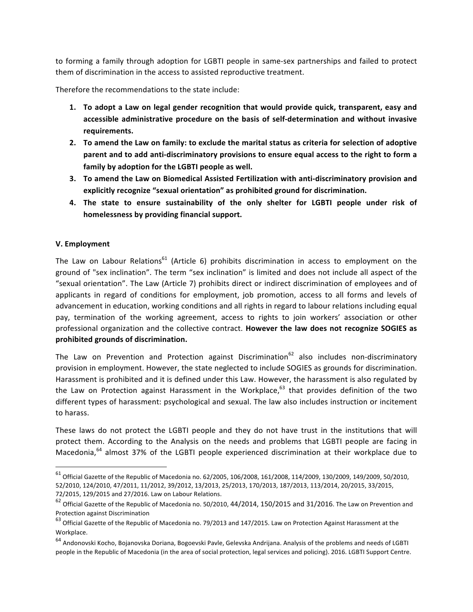to forming a family through adoption for LGBTI people in same-sex partnerships and failed to protect them of discrimination in the access to assisted reproductive treatment.

Therefore the recommendations to the state include:

- **1.** To adopt a Law on legal gender recognition that would provide quick, transparent, easy and accessible administrative procedure on the basis of self-determination and without invasive **requirements.**
- **2.** To amend the Law on family: to exclude the marital status as criteria for selection of adoptive parent and to add anti-discriminatory provisions to ensure equal access to the right to form a family by adoption for the LGBTI people as well.
- **3.** To amend the Law on Biomedical Assisted Fertilization with anti-discriminatory provision and explicitly recognize "sexual orientation" as prohibited ground for discrimination.
- 4. The state to ensure sustainability of the only shelter for LGBTI people under risk of homelessness by providing financial support.

### **V. Employment**

<u> 1989 - Johann Stein, markin film yn y breninn y breninn y breninn y breninn y breninn y breninn y breninn y b</u>

The Law on Labour Relations<sup>61</sup> (Article 6) prohibits discrimination in access to employment on the ground of "sex inclination". The term "sex inclination" is limited and does not include all aspect of the "sexual orientation". The Law (Article 7) prohibits direct or indirect discrimination of employees and of applicants in regard of conditions for employment, job promotion, access to all forms and levels of advancement in education, working conditions and all rights in regard to labour relations including equal pay, termination of the working agreement, access to rights to join workers' association or other professional organization and the collective contract. **However the law does not recognize SOGIES** as prohibited grounds of discrimination.

The Law on Prevention and Protection against Discrimination<sup>62</sup> also includes non-discriminatory provision in employment. However, the state neglected to include SOGIES as grounds for discrimination. Harassment is prohibited and it is defined under this Law. However, the harassment is also regulated by the Law on Protection against Harassment in the Workplace, $^{63}$  that provides definition of the two different types of harassment: psychological and sexual. The law also includes instruction or incitement to harass.

These laws do not protect the LGBTI people and they do not have trust in the institutions that will protect them. According to the Analysis on the needs and problems that LGBTI people are facing in Macedonia, $64$  almost 37% of the LGBTI people experienced discrimination at their workplace due to

 $^{61}$  Official Gazette of the Republic of Macedonia no. 62/2005, 106/2008, 161/2008, 114/2009, 130/2009, 149/2009, 50/2010, 52/2010, 124/2010, 47/2011, 11/2012, 39/2012, 13/2013, 25/2013, 170/2013, 187/2013, 113/2014, 20/2015, 33/2015, 72/2015, 129/2015 and 27/2016. Law on Labour Relations.

 $62$  Official Gazette of the Republic of Macedonia no. 50/2010, 44/2014, 150/2015 and 31/2016. The Law on Prevention and Protection against Discrimination

 $^{63}$  Official Gazette of the Republic of Macedonia no. 79/2013 and 147/2015. Law on Protection Against Harassment at the Workplace.

 $^{64}$  Andonovski Kocho, Bojanovska Doriana, Bogoevski Pavle, Gelevska Andrijana. Analysis of the problems and needs of LGBTI people in the Republic of Macedonia (in the area of social protection, legal services and policing). 2016. LGBTI Support Centre.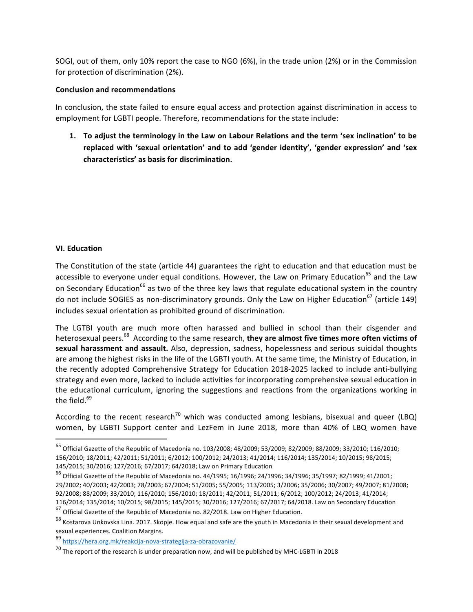SOGI, out of them, only 10% report the case to NGO (6%), in the trade union (2%) or in the Commission for protection of discrimination (2%).

### **Conclusion and recommendations**

In conclusion, the state failed to ensure equal access and protection against discrimination in access to employment for LGBTI people. Therefore, recommendations for the state include:

1. To adjust the terminology in the Law on Labour Relations and the term 'sex inclination' to be replaced with 'sexual orientation' and to add 'gender identity', 'gender expression' and 'sex **characteristics' as basis for discrimination.**

### **VI. Education**

The Constitution of the state (article 44) guarantees the right to education and that education must be accessible to everyone under equal conditions. However, the Law on Primary Education<sup>65</sup> and the Law on Secondary Education<sup>66</sup> as two of the three key laws that regulate educational system in the country do not include SOGIES as non-discriminatory grounds. Only the Law on Higher Education<sup>67</sup> (article 149) includes sexual orientation as prohibited ground of discrimination.

The LGTBI youth are much more often harassed and bullied in school than their cisgender and heterosexual peers.<sup>68</sup> According to the same research, **they are almost five times more often victims of** sexual harassment and assault. Also, depression, sadness, hopelessness and serious suicidal thoughts are among the highest risks in the life of the LGBTI youth. At the same time, the Ministry of Education, in the recently adopted Comprehensive Strategy for Education 2018-2025 lacked to include anti-bullying strategy and even more, lacked to include activities for incorporating comprehensive sexual education in the educational curriculum, ignoring the suggestions and reactions from the organizations working in the field. $69$ 

According to the recent research<sup>70</sup> which was conducted among lesbians, bisexual and queer (LBQ) women, by LGBTI Support center and LezFem in June 2018, more than 40% of LBQ women have

 $^{67}$  Official Gazette of the Republic of Macedonia no. 82/2018. Law on Higher Education.

 $^{65}$  Official Gazette of the Republic of Macedonia no. 103/2008; 48/2009; 53/2009; 82/2009; 88/2009; 33/2010; 116/2010; 156/2010; 18/2011; 42/2011; 51/2011; 6/2012; 100/2012; 24/2013; 41/2014; 116/2014; 135/2014; 10/2015; 98/2015; 145/2015; 30/2016; 127/2016; 67/2017; 64/2018; Law on Primary Education

 $^{66}$  Official Gazette of the Republic of Macedonia no. 44/1995; 16/1996; 24/1996; 34/1996; 35/1997; 82/1999; 41/2001; 29/2002; 40/2003; 42/2003; 78/2003; 67/2004; 51/2005; 55/2005; 113/2005; 3/2006; 35/2006; 30/2007; 49/2007; 81/2008; 92/2008; 88/2009; 33/2010; 116/2010; 156/2010; 18/2011; 42/2011; 51/2011; 6/2012; 100/2012; 24/2013; 41/2014; 116/2014; 135/2014; 10/2015; 98/2015; 145/2015; 30/2016; 127/2016; 67/2017; 64/2018. Law on Secondary Education

 $^{68}$  Kostarova Unkovska Lina. 2017. Skopje. How equal and safe are the youth in Macedonia in their sexual development and sexual experiences. Coalition Margins.

<sup>69</sup> https://hera.org.mk/reakcija-nova-strategija-za-obrazovanie/

 $70$  The report of the research is under preparation now, and will be published by MHC-LGBTI in 2018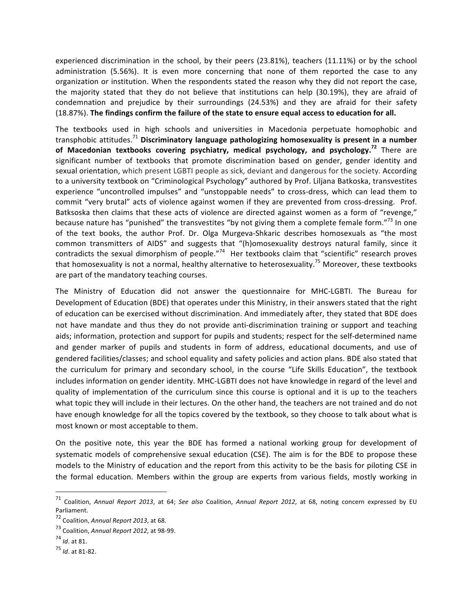experienced discrimination in the school, by their peers  $(23.81%)$ , teachers  $(11.11%)$  or by the school administration (5.56%). It is even more concerning that none of them reported the case to any organization or institution. When the respondents stated the reason why they did not report the case, the majority stated that they do not believe that institutions can help (30.19%), they are afraid of condemnation and prejudice by their surroundings (24.53%) and they are afraid for their safety (18.87%). The findings confirm the failure of the state to ensure equal access to education for all.

The textbooks used in high schools and universities in Macedonia perpetuate homophobic and transphobic attitudes.<sup>71</sup> Discriminatory language pathologizing homosexuality is present in a number of Macedonian textbooks covering psychiatry, medical psychology, and psychology.<sup>72</sup> There are significant number of textbooks that promote discrimination based on gender, gender identity and sexual orientation, which present LGBTI people as sick, deviant and dangerous for the society. According to a university textbook on "Criminological Psychology" authored by Prof. Liljana Batkoska, transvestites experience "uncontrolled impulses" and "unstoppable needs" to cross-dress, which can lead them to commit "very brutal" acts of violence against women if they are prevented from cross-dressing. Prof. Batksoska then claims that these acts of violence are directed against women as a form of "revenge," because nature has "punished" the transvestites "by not giving them a complete female form."<sup>73</sup> In one of the text books, the author Prof. Dr. Olga Murgeva-Shkaric describes homosexuals as "the most common transmitters of AIDS" and suggests that "(h)omosexuality destroys natural family, since it contradicts the sexual dimorphism of people."<sup>74</sup> Her textbooks claim that "scientific" research proves that homosexuality is not a normal, healthy alternative to heterosexuality.<sup>75</sup> Moreover, these textbooks are part of the mandatory teaching courses.

The Ministry of Education did not answer the questionnaire for MHC-LGBTI. The Bureau for Development of Education (BDE) that operates under this Ministry, in their answers stated that the right of education can be exercised without discrimination. And immediately after, they stated that BDE does not have mandate and thus they do not provide anti-discrimination training or support and teaching aids; information, protection and support for pupils and students; respect for the self-determined name and gender marker of pupils and students in form of address, educational documents, and use of gendered facilities/classes; and school equality and safety policies and action plans. BDE also stated that the curriculum for primary and secondary school, in the course "Life Skills Education", the textbook includes information on gender identity. MHC-LGBTI does not have knowledge in regard of the level and quality of implementation of the curriculum since this course is optional and it is up to the teachers what topic they will include in their lectures. On the other hand, the teachers are not trained and do not have enough knowledge for all the topics covered by the textbook, so they choose to talk about what is most known or most acceptable to them.

On the positive note, this year the BDE has formed a national working group for development of systematic models of comprehensive sexual education (CSE). The aim is for the BDE to propose these models to the Ministry of education and the report from this activity to be the basis for piloting CSE in the formal education. Members within the group are experts from various fields, mostly working in

<sup>&</sup>lt;sup>71</sup> Coalition, Annual Report 2013, at 64; See also Coalition, Annual Report 2012, at 68, noting concern expressed by EU Parliament.

<sup>72</sup> Coalition, Annual Report 2013, at 68.

<sup>&</sup>lt;sup>73</sup> Coalition, Annual Report 2012, at 98-99.

<sup>74</sup> *Id.* at 81.

<sup>75</sup> *Id*. at 81-82.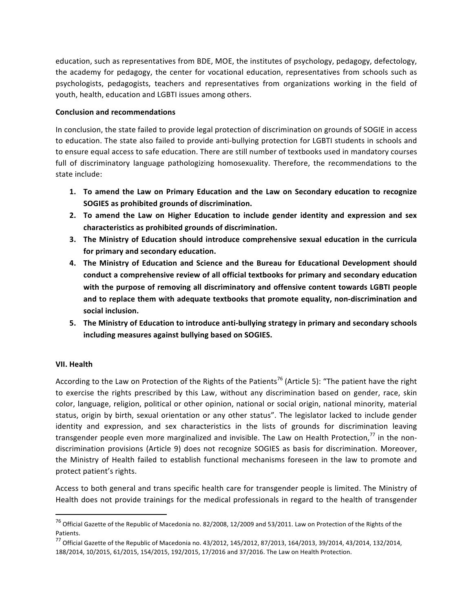education, such as representatives from BDE, MOE, the institutes of psychology, pedagogy, defectology, the academy for pedagogy, the center for vocational education, representatives from schools such as psychologists, pedagogists, teachers and representatives from organizations working in the field of youth, health, education and LGBTI issues among others.

### **Conclusion and recommendations**

In conclusion, the state failed to provide legal protection of discrimination on grounds of SOGIE in access to education. The state also failed to provide anti-bullying protection for LGBTI students in schools and to ensure equal access to safe education. There are still number of textbooks used in mandatory courses full of discriminatory language pathologizing homosexuality. Therefore, the recommendations to the state include:

- 1. To amend the Law on Primary Education and the Law on Secondary education to recognize **SOGIES** as prohibited grounds of discrimination.
- **2.** To amend the Law on Higher Education to include gender identity and expression and sex **characteristics as prohibited grounds of discrimination.**
- **3.** The Ministry of Education should introduce comprehensive sexual education in the curricula for primary and secondary education.
- 4. The Ministry of Education and Science and the Bureau for Educational Development should conduct a comprehensive review of all official textbooks for primary and secondary education with the purpose of removing all discriminatory and offensive content towards LGBTI people and to replace them with adequate textbooks that promote equality, non-discrimination and social inclusion.
- **5.** The Ministry of Education to introduce anti-bullying strategy in primary and secondary schools including measures against bullying based on SOGIES.

# **VII. Health**

<u> 1989 - Johann Stein, markin film yn y breninn y breninn y breninn y breninn y breninn y breninn y breninn y b</u>

According to the Law on Protection of the Rights of the Patients<sup>76</sup> (Article 5): "The patient have the right to exercise the rights prescribed by this Law, without any discrimination based on gender, race, skin color, language, religion, political or other opinion, national or social origin, national minority, material status, origin by birth, sexual orientation or any other status". The legislator lacked to include gender identity and expression, and sex characteristics in the lists of grounds for discrimination leaving transgender people even more marginalized and invisible. The Law on Health Protection, $77$  in the nondiscrimination provisions (Article 9) does not recognize SOGIES as basis for discrimination. Moreover, the Ministry of Health failed to establish functional mechanisms foreseen in the law to promote and protect patient's rights.

Access to both general and trans specific health care for transgender people is limited. The Ministry of Health does not provide trainings for the medical professionals in regard to the health of transgender

 $^{76}$  Official Gazette of the Republic of Macedonia no. 82/2008, 12/2009 and 53/2011. Law on Protection of the Rights of the Patients. 

 $^{77}$  Official Gazette of the Republic of Macedonia no. 43/2012, 145/2012, 87/2013, 164/2013, 39/2014, 43/2014, 132/2014, 188/2014, 10/2015, 61/2015, 154/2015, 192/2015, 17/2016 and 37/2016. The Law on Health Protection.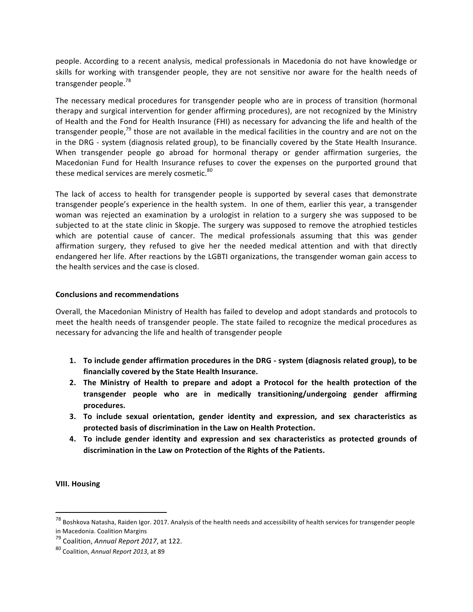people. According to a recent analysis, medical professionals in Macedonia do not have knowledge or skills for working with transgender people, they are not sensitive nor aware for the health needs of transgender people.<sup>78</sup>

The necessary medical procedures for transgender people who are in process of transition (hormonal therapy and surgical intervention for gender affirming procedures), are not recognized by the Ministry of Health and the Fond for Health Insurance (FHI) as necessary for advancing the life and health of the transgender people,<sup>79</sup> those are not available in the medical facilities in the country and are not on the in the DRG - system (diagnosis related group), to be financially covered by the State Health Insurance. When transgender people go abroad for hormonal therapy or gender affirmation surgeries, the Macedonian Fund for Health Insurance refuses to cover the expenses on the purported ground that these medical services are merely cosmetic.<sup>80</sup>

The lack of access to health for transgender people is supported by several cases that demonstrate transgender people's experience in the health system. In one of them, earlier this year, a transgender woman was rejected an examination by a urologist in relation to a surgery she was supposed to be subjected to at the state clinic in Skopje. The surgery was supposed to remove the atrophied testicles which are potential cause of cancer. The medical professionals assuming that this was gender affirmation surgery, they refused to give her the needed medical attention and with that directly endangered her life. After reactions by the LGBTI organizations, the transgender woman gain access to the health services and the case is closed.

### **Conclusions and recommendations**

Overall, the Macedonian Ministry of Health has failed to develop and adopt standards and protocols to meet the health needs of transgender people. The state failed to recognize the medical procedures as necessary for advancing the life and health of transgender people

- 1. To include gender affirmation procedures in the DRG system (diagnosis related group), to be financially covered by the State Health Insurance.
- **2.** The Ministry of Health to prepare and adopt a Protocol for the health protection of the **transgender people who are in medically transitioning/undergoing gender affirming procedures.**
- **3.** To include sexual orientation, gender identity and expression, and sex characteristics as protected basis of discrimination in the Law on Health Protection.
- **4.** To include gender identity and expression and sex characteristics as protected grounds of discrimination in the Law on Protection of the Rights of the Patients.

**VIII. Housing**

<sup>&</sup>lt;sup>78</sup> Boshkova Natasha, Raiden Igor. 2017. Analysis of the health needs and accessibility of health services for transgender people in Macedonia. Coalition Margins

<sup>&</sup>lt;sup>79</sup> Coalition, Annual Report 2017, at 122.

<sup>80</sup> Coalition, Annual Report 2013, at 89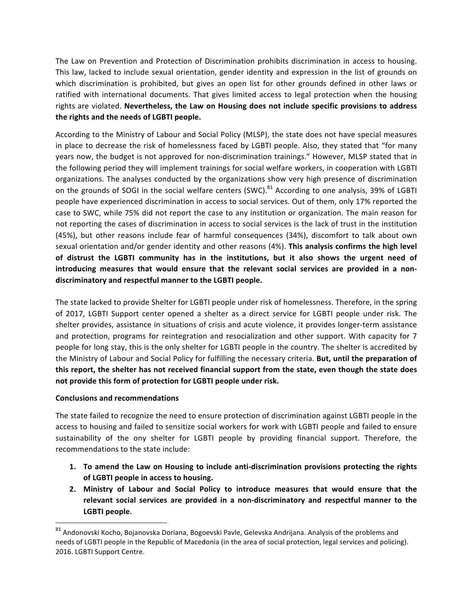The Law on Prevention and Protection of Discrimination prohibits discrimination in access to housing. This law, lacked to include sexual orientation, gender identity and expression in the list of grounds on which discrimination is prohibited, but gives an open list for other grounds defined in other laws or ratified with international documents. That gives limited access to legal protection when the housing rights are violated. Nevertheless, the Law on Housing does not include specific provisions to address the rights and the needs of LGBTI people.

According to the Ministry of Labour and Social Policy (MLSP), the state does not have special measures in place to decrease the risk of homelessness faced by LGBTI people. Also, they stated that "for many years now, the budget is not approved for non-discrimination trainings." However, MLSP stated that in the following period they will implement trainings for social welfare workers, in cooperation with LGBTI organizations. The analyses conducted by the organizations show very high presence of discrimination on the grounds of SOGI in the social welfare centers (SWC).<sup>81</sup> According to one analysis, 39% of LGBTI people have experienced discrimination in access to social services. Out of them, only 17% reported the case to SWC, while 75% did not report the case to any institution or organization. The main reason for not reporting the cases of discrimination in access to social services is the lack of trust in the institution (45%), but other reasons include fear of harmful consequences (34%), discomfort to talk about own sexual orientation and/or gender identity and other reasons (4%). This analysis confirms the high level of distrust the LGBTI community has in the institutions, but it also shows the urgent need of introducing measures that would ensure that the relevant social services are provided in a nondiscriminatory and respectful manner to the LGBTI people.

The state lacked to provide Shelter for LGBTI people under risk of homelessness. Therefore, in the spring of 2017, LGBTI Support center opened a shelter as a direct service for LGBTI people under risk. The shelter provides, assistance in situations of crisis and acute violence, it provides longer-term assistance and protection, programs for reintegration and resocialization and other support. With capacity for 7 people for long stay, this is the only shelter for LGBTI people in the country. The shelter is accredited by the Ministry of Labour and Social Policy for fulfilling the necessary criteria. But, until the preparation of this report, the shelter has not received financial support from the state, even though the state does not provide this form of protection for LGBTI people under risk.

### **Conclusions and recommendations**

 

The state failed to recognize the need to ensure protection of discrimination against LGBTI people in the access to housing and failed to sensitize social workers for work with LGBTI people and failed to ensure sustainability of the ony shelter for LGBTI people by providing financial support. Therefore, the recommendations to the state include:

- 1. To amend the Law on Housing to include anti-discrimination provisions protecting the rights of LGBTI people in access to housing.
- 2. Ministry of Labour and Social Policy to introduce measures that would ensure that the relevant social services are provided in a non-discriminatory and respectful manner to the LGBTI people.

 $81$  Andonovski Kocho, Bojanovska Doriana, Bogoevski Pavle, Gelevska Andrijana. Analysis of the problems and needs of LGBTI people in the Republic of Macedonia (in the area of social protection, legal services and policing). 2016. LGBTI Support Centre.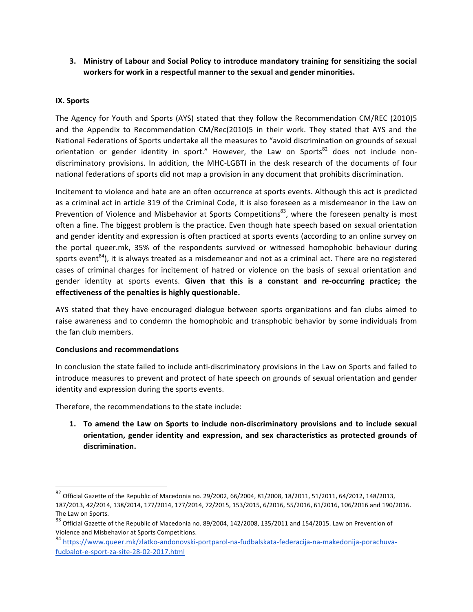**3.** Ministry of Labour and Social Policy to introduce mandatory training for sensitizing the social workers for work in a respectful manner to the sexual and gender minorities.

# **IX. Sports**

The Agency for Youth and Sports (AYS) stated that they follow the Recommendation CM/REC (2010)5 and the Appendix to Recommendation CM/Rec(2010)5 in their work. They stated that AYS and the National Federations of Sports undertake all the measures to "avoid discrimination on grounds of sexual orientation or gender identity in sport." However, the Law on Sports $^{82}$  does not include nondiscriminatory provisions. In addition, the MHC-LGBTI in the desk research of the documents of four national federations of sports did not map a provision in any document that prohibits discrimination.

Incitement to violence and hate are an often occurrence at sports events. Although this act is predicted as a criminal act in article 319 of the Criminal Code, it is also foreseen as a misdemeanor in the Law on Prevention of Violence and Misbehavior at Sports Competitions<sup>83</sup>, where the foreseen penalty is most often a fine. The biggest problem is the practice. Even though hate speech based on sexual orientation and gender identity and expression is often practiced at sports events (according to an online survey on the portal queer.mk, 35% of the respondents survived or witnessed homophobic behaviour during sports event<sup>84</sup>), it is always treated as a misdemeanor and not as a criminal act. There are no registered cases of criminal charges for incitement of hatred or violence on the basis of sexual orientation and gender identity at sports events. Given that this is a constant and re-occurring practice; the effectiveness of the penalties is highly questionable.

AYS stated that they have encouraged dialogue between sports organizations and fan clubs aimed to raise awareness and to condemn the homophobic and transphobic behavior by some individuals from the fan club members.

### **Conclusions and recommendations**

<u> 1989 - Johann Stein, markin film yn y breninn y breninn y breninn y breninn y breninn y breninn y breninn y b</u>

In conclusion the state failed to include anti-discriminatory provisions in the Law on Sports and failed to introduce measures to prevent and protect of hate speech on grounds of sexual orientation and gender identity and expression during the sports events.

Therefore, the recommendations to the state include:

1. To amend the Law on Sports to include non-discriminatory provisions and to include sexual orientation, gender identity and expression, and sex characteristics as protected grounds of **discrimination.** 

 $82$  Official Gazette of the Republic of Macedonia no. 29/2002, 66/2004, 81/2008, 18/2011, 51/2011, 64/2012, 148/2013, 187/2013, 42/2014, 138/2014, 177/2014, 177/2014, 72/2015, 153/2015, 6/2016, 55/2016, 61/2016, 106/2016 and 190/2016. The Law on Sports.

 $83$  Official Gazette of the Republic of Macedonia no. 89/2004, 142/2008, 135/2011 and 154/2015. Law on Prevention of Violence and Misbehavior at Sports Competitions.

<sup>84</sup> https://www.queer.mk/zlatko-andonovski-portparol-na-fudbalskata-federacija-na-makedonija-porachuvafudbalot-e-sport-za-site-28-02-2017.html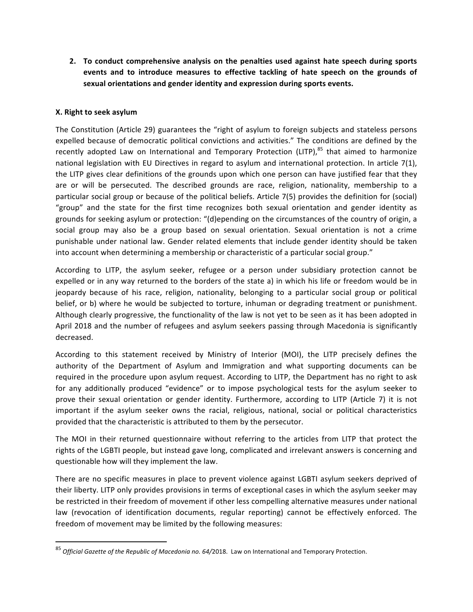**2.** To conduct comprehensive analysis on the penalties used against hate speech during sports events and to introduce measures to effective tackling of hate speech on the grounds of sexual orientations and gender identity and expression during sports events.

# **X.** Right to seek asylum

<u> 1989 - Johann Stein, markin film yn y breninn y breninn y breninn y breninn y breninn y breninn y breninn y b</u>

The Constitution (Article 29) guarantees the "right of asylum to foreign subjects and stateless persons expelled because of democratic political convictions and activities." The conditions are defined by the recently adopted Law on International and Temporary Protection (LITP), $85$  that aimed to harmonize national legislation with EU Directives in regard to asylum and international protection. In article 7(1), the LITP gives clear definitions of the grounds upon which one person can have justified fear that they are or will be persecuted. The described grounds are race, religion, nationality, membership to a particular social group or because of the political beliefs. Article 7(5) provides the definition for (social) "group" and the state for the first time recognizes both sexual orientation and gender identity as grounds for seeking asylum or protection: "(d)epending on the circumstances of the country of origin, a social group may also be a group based on sexual orientation. Sexual orientation is not a crime punishable under national law. Gender related elements that include gender identity should be taken into account when determining a membership or characteristic of a particular social group."

According to LITP, the asylum seeker, refugee or a person under subsidiary protection cannot be expelled or in any way returned to the borders of the state a) in which his life or freedom would be in jeopardy because of his race, religion, nationality, belonging to a particular social group or political belief, or b) where he would be subjected to torture, inhuman or degrading treatment or punishment. Although clearly progressive, the functionality of the law is not yet to be seen as it has been adopted in April 2018 and the number of refugees and asylum seekers passing through Macedonia is significantly decreased. 

According to this statement received by Ministry of Interior (MOI), the LITP precisely defines the authority of the Department of Asylum and Immigration and what supporting documents can be required in the procedure upon asylum request. According to LITP, the Department has no right to ask for any additionally produced "evidence" or to impose psychological tests for the asylum seeker to prove their sexual orientation or gender identity. Furthermore, according to LITP (Article 7) it is not important if the asylum seeker owns the racial, religious, national, social or political characteristics provided that the characteristic is attributed to them by the persecutor.

The MOI in their returned questionnaire without referring to the articles from LITP that protect the rights of the LGBTI people, but instead gave long, complicated and irrelevant answers is concerning and questionable how will they implement the law.

There are no specific measures in place to prevent violence against LGBTI asylum seekers deprived of their liberty. LITP only provides provisions in terms of exceptional cases in which the asylum seeker may be restricted in their freedom of movement if other less compelling alternative measures under national law (revocation of identification documents, regular reporting) cannot be effectively enforced. The freedom of movement may be limited by the following measures:

<sup>&</sup>lt;sup>85</sup> Official Gazette of the Republic of Macedonia no. 64/2018. Law on International and Temporary Protection.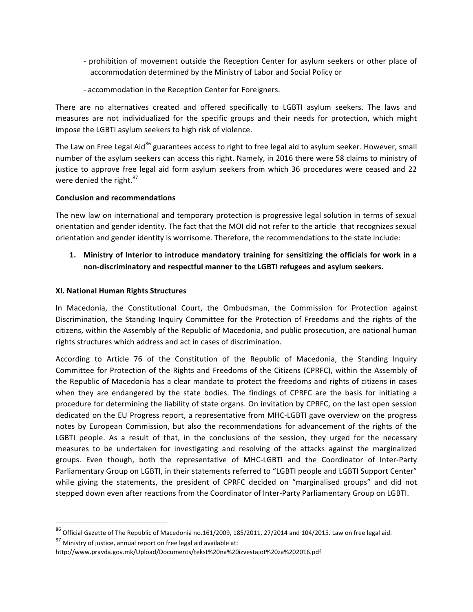- prohibition of movement outside the Reception Center for asylum seekers or other place of accommodation determined by the Ministry of Labor and Social Policy or
- accommodation in the Reception Center for Foreigners.

There are no alternatives created and offered specifically to LGBTI asylum seekers. The laws and measures are not individualized for the specific groups and their needs for protection, which might impose the LGBTI asylum seekers to high risk of violence.

The Law on Free Legal Aid<sup>86</sup> guarantees access to right to free legal aid to asylum seeker. However, small number of the asylum seekers can access this right. Namely, in 2016 there were 58 claims to ministry of justice to approve free legal aid form asylum seekers from which 36 procedures were ceased and 22 were denied the right. $87$ 

### **Conclusion and recommendations**

The new law on international and temporary protection is progressive legal solution in terms of sexual orientation and gender identity. The fact that the MOI did not refer to the article that recognizes sexual orientation and gender identity is worrisome. Therefore, the recommendations to the state include:

1. Ministry of Interior to introduce mandatory training for sensitizing the officials for work in a non-discriminatory and respectful manner to the LGBTI refugees and asylum seekers.

# **XI. National Human Rights Structures**

In Macedonia, the Constitutional Court, the Ombudsman, the Commission for Protection against Discrimination, the Standing Inquiry Committee for the Protection of Freedoms and the rights of the citizens, within the Assembly of the Republic of Macedonia, and public prosecution, are national human rights structures which address and act in cases of discrimination.

According to Article 76 of the Constitution of the Republic of Macedonia, the Standing Inquiry Committee for Protection of the Rights and Freedoms of the Citizens (CPRFC), within the Assembly of the Republic of Macedonia has a clear mandate to protect the freedoms and rights of citizens in cases when they are endangered by the state bodies. The findings of CPRFC are the basis for initiating a procedure for determining the liability of state organs. On invitation by CPRFC, on the last open session dedicated on the EU Progress report, a representative from MHC-LGBTI gave overview on the progress notes by European Commission, but also the recommendations for advancement of the rights of the LGBTI people. As a result of that, in the conclusions of the session, they urged for the necessary measures to be undertaken for investigating and resolving of the attacks against the marginalized groups. Even though, both the representative of MHC-LGBTI and the Coordinator of Inter-Party Parliamentary Group on LGBTI, in their statements referred to "LGBTI people and LGBTI Support Center" while giving the statements, the president of CPRFC decided on "marginalised groups" and did not stepped down even after reactions from the Coordinator of Inter-Party Parliamentary Group on LGBTI.

 $87$  Ministry of justice, annual report on free legal aid available at:

 

 $86$  Official Gazette of The Republic of Macedonia no.161/2009, 185/2011, 27/2014 and 104/2015. Law on free legal aid.

http://www.pravda.gov.mk/Upload/Documents/tekst%20na%20izvestajot%20za%202016.pdf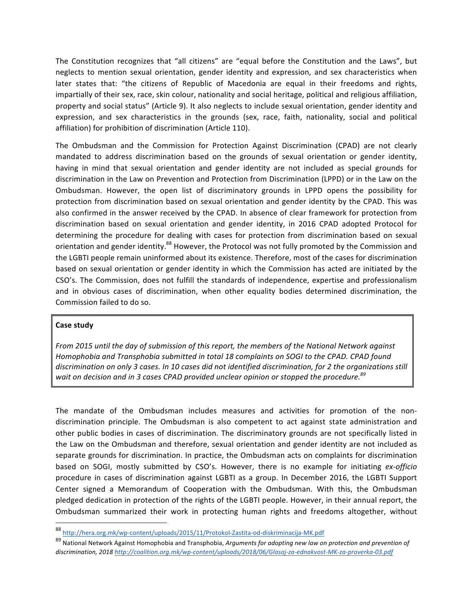The Constitution recognizes that "all citizens" are "equal before the Constitution and the Laws", but neglects to mention sexual orientation, gender identity and expression, and sex characteristics when later states that: "the citizens of Republic of Macedonia are equal in their freedoms and rights, impartially of their sex, race, skin colour, nationality and social heritage, political and religious affiliation, property and social status" (Article 9). It also neglects to include sexual orientation, gender identity and expression, and sex characteristics in the grounds (sex, race, faith, nationality, social and political affiliation) for prohibition of discrimination (Article 110).

The Ombudsman and the Commission for Protection Against Discrimination (CPAD) are not clearly mandated to address discrimination based on the grounds of sexual orientation or gender identity, having in mind that sexual orientation and gender identity are not included as special grounds for discrimination in the Law on Prevention and Protection from Discrimination (LPPD) or in the Law on the Ombudsman. However, the open list of discriminatory grounds in LPPD opens the possibility for protection from discrimination based on sexual orientation and gender identity by the CPAD. This was also confirmed in the answer received by the CPAD. In absence of clear framework for protection from discrimination based on sexual orientation and gender identity, in 2016 CPAD adopted Protocol for determining the procedure for dealing with cases for protection from discrimination based on sexual orientation and gender identity.<sup>88</sup> However, the Protocol was not fully promoted by the Commission and the LGBTI people remain uninformed about its existence. Therefore, most of the cases for discrimination based on sexual orientation or gender identity in which the Commission has acted are initiated by the CSO's. The Commission, does not fulfill the standards of independence, expertise and professionalism and in obvious cases of discrimination, when other equality bodies determined discrimination, the Commission failed to do so.

### **Case study**

 

*From 2015 until the day of submission of this report, the members of the National Network against* Homophobia and Transphobia submitted in total 18 complaints on SOGI to the CPAD. CPAD found discrimination on only 3 cases. In 10 cases did not identified discrimination, for 2 the organizations still wait on decision and in 3 cases CPAD provided unclear opinion or stopped the procedure.<sup>89</sup>

The mandate of the Ombudsman includes measures and activities for promotion of the nondiscrimination principle. The Ombudsman is also competent to act against state administration and other public bodies in cases of discrimination. The discriminatory grounds are not specifically listed in the Law on the Ombudsman and therefore, sexual orientation and gender identity are not included as separate grounds for discrimination. In practice, the Ombudsman acts on complaints for discrimination based on SOGI, mostly submitted by CSO's. However, there is no example for initiating *ex-officio* procedure in cases of discrimination against LGBTI as a group. In December 2016, the LGBTI Support Center signed a Memorandum of Cooperation with the Ombudsman. With this, the Ombudsman pledged dedication in protection of the rights of the LGBTI people. However, in their annual report, the Ombudsman summarized their work in protecting human rights and freedoms altogether, without

<sup>88</sup> http://hera.org.mk/wp-content/uploads/2015/11/Protokol-Zastita-od-diskriminacija-MK.pdf

<sup>&</sup>lt;sup>89</sup> National Network Against Homophobia and Transphobia, *Arguments for adopting new law on protection and prevention of discrimination, 2018 http://coalition.org.mk/wp-content/uploads/2018/06/Glasaj-za-ednakvost-MK-za-proverka-03.pdf*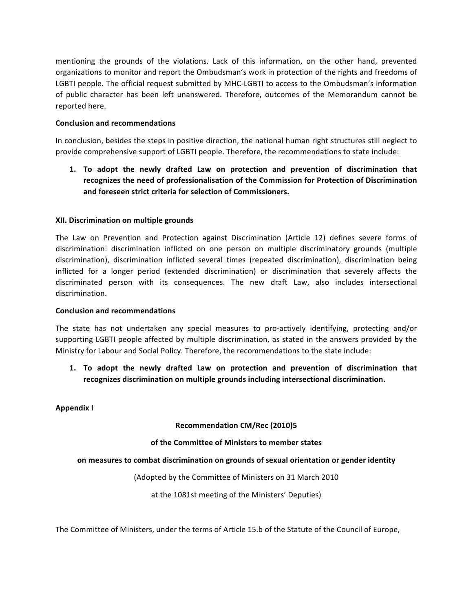mentioning the grounds of the violations. Lack of this information, on the other hand, prevented organizations to monitor and report the Ombudsman's work in protection of the rights and freedoms of LGBTI people. The official request submitted by MHC-LGBTI to access to the Ombudsman's information of public character has been left unanswered. Therefore, outcomes of the Memorandum cannot be reported here.

### **Conclusion and recommendations**

In conclusion, besides the steps in positive direction, the national human right structures still neglect to provide comprehensive support of LGBTI people. Therefore, the recommendations to state include:

1. To adopt the newly drafted Law on protection and prevention of discrimination that recognizes the need of professionalisation of the Commission for Protection of Discrimination and foreseen strict criteria for selection of Commissioners.

### **XII. Discrimination on multiple grounds**

The Law on Prevention and Protection against Discrimination (Article 12) defines severe forms of discrimination: discrimination inflicted on one person on multiple discriminatory grounds (multiple discrimination), discrimination inflicted several times (repeated discrimination), discrimination being inflicted for a longer period (extended discrimination) or discrimination that severely affects the discriminated person with its consequences. The new draft Law, also includes intersectional discrimination. 

#### **Conclusion and recommendations**

The state has not undertaken any special measures to pro-actively identifying, protecting and/or supporting LGBTI people affected by multiple discrimination, as stated in the answers provided by the Ministry for Labour and Social Policy. Therefore, the recommendations to the state include:

**1.** To adopt the newly drafted Law on protection and prevention of discrimination that recognizes discrimination on multiple grounds including intersectional discrimination.

#### **Appendix I**

### **Recommendation CM/Rec (2010)5**

### of the Committee of Ministers to member states

#### on measures to combat discrimination on grounds of sexual orientation or gender identity

(Adopted by the Committee of Ministers on 31 March 2010)

at the 1081st meeting of the Ministers' Deputies)

The Committee of Ministers, under the terms of Article 15.b of the Statute of the Council of Europe,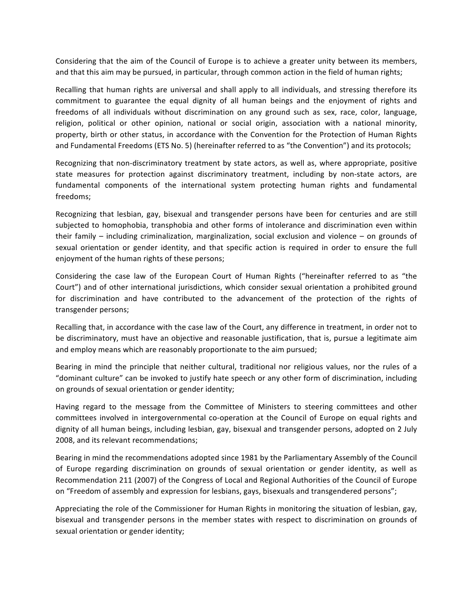Considering that the aim of the Council of Europe is to achieve a greater unity between its members, and that this aim may be pursued, in particular, through common action in the field of human rights;

Recalling that human rights are universal and shall apply to all individuals, and stressing therefore its commitment to guarantee the equal dignity of all human beings and the enjoyment of rights and freedoms of all individuals without discrimination on any ground such as sex, race, color, language, religion, political or other opinion, national or social origin, association with a national minority, property, birth or other status, in accordance with the Convention for the Protection of Human Rights and Fundamental Freedoms (ETS No. 5) (hereinafter referred to as "the Convention") and its protocols;

Recognizing that non-discriminatory treatment by state actors, as well as, where appropriate, positive state measures for protection against discriminatory treatment, including by non-state actors, are fundamental components of the international system protecting human rights and fundamental freedoms;

Recognizing that lesbian, gay, bisexual and transgender persons have been for centuries and are still subjected to homophobia, transphobia and other forms of intolerance and discrimination even within their family  $-$  including criminalization, marginalization, social exclusion and violence  $-$  on grounds of sexual orientation or gender identity, and that specific action is required in order to ensure the full enjoyment of the human rights of these persons;

Considering the case law of the European Court of Human Rights ("hereinafter referred to as "the Court") and of other international jurisdictions, which consider sexual orientation a prohibited ground for discrimination and have contributed to the advancement of the protection of the rights of transgender persons;

Recalling that, in accordance with the case law of the Court, any difference in treatment, in order not to be discriminatory, must have an objective and reasonable justification, that is, pursue a legitimate aim and employ means which are reasonably proportionate to the aim pursued;

Bearing in mind the principle that neither cultural, traditional nor religious values, nor the rules of a "dominant culture" can be invoked to justify hate speech or any other form of discrimination, including on grounds of sexual orientation or gender identity;

Having regard to the message from the Committee of Ministers to steering committees and other committees involved in intergovernmental co-operation at the Council of Europe on equal rights and dignity of all human beings, including lesbian, gay, bisexual and transgender persons, adopted on 2 July 2008, and its relevant recommendations;

Bearing in mind the recommendations adopted since 1981 by the Parliamentary Assembly of the Council of Europe regarding discrimination on grounds of sexual orientation or gender identity, as well as Recommendation 211 (2007) of the Congress of Local and Regional Authorities of the Council of Europe on "Freedom of assembly and expression for lesbians, gays, bisexuals and transgendered persons";

Appreciating the role of the Commissioner for Human Rights in monitoring the situation of lesbian, gay, bisexual and transgender persons in the member states with respect to discrimination on grounds of sexual orientation or gender identity;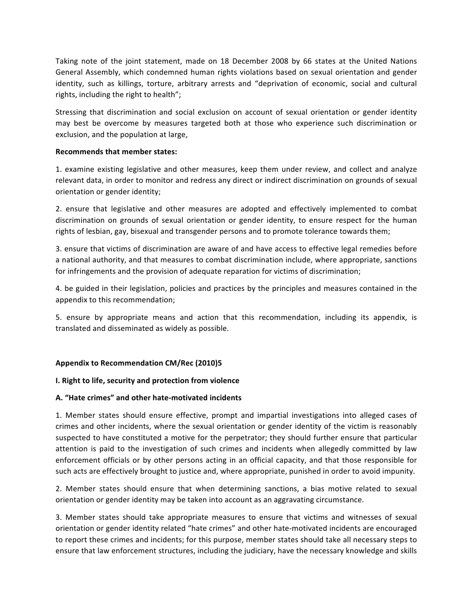Taking note of the joint statement, made on 18 December 2008 by 66 states at the United Nations General Assembly, which condemned human rights violations based on sexual orientation and gender identity, such as killings, torture, arbitrary arrests and "deprivation of economic, social and cultural rights, including the right to health";

Stressing that discrimination and social exclusion on account of sexual orientation or gender identity may best be overcome by measures targeted both at those who experience such discrimination or exclusion, and the population at large,

### **Recommends that member states:**

1. examine existing legislative and other measures, keep them under review, and collect and analyze relevant data, in order to monitor and redress any direct or indirect discrimination on grounds of sexual orientation or gender identity;

2. ensure that legislative and other measures are adopted and effectively implemented to combat discrimination on grounds of sexual orientation or gender identity, to ensure respect for the human rights of lesbian, gay, bisexual and transgender persons and to promote tolerance towards them;

3. ensure that victims of discrimination are aware of and have access to effective legal remedies before a national authority, and that measures to combat discrimination include, where appropriate, sanctions for infringements and the provision of adequate reparation for victims of discrimination;

4. be guided in their legislation, policies and practices by the principles and measures contained in the appendix to this recommendation;

5. ensure by appropriate means and action that this recommendation, including its appendix, is translated and disseminated as widely as possible.

### Appendix to Recommendation CM/Rec (2010)5

### **I. Right to life, security and protection from violence**

### **A. "Hate crimes" and other hate-motivated incidents**

1. Member states should ensure effective, prompt and impartial investigations into alleged cases of crimes and other incidents, where the sexual orientation or gender identity of the victim is reasonably suspected to have constituted a motive for the perpetrator; they should further ensure that particular attention is paid to the investigation of such crimes and incidents when allegedly committed by law enforcement officials or by other persons acting in an official capacity, and that those responsible for such acts are effectively brought to justice and, where appropriate, punished in order to avoid impunity.

2. Member states should ensure that when determining sanctions, a bias motive related to sexual orientation or gender identity may be taken into account as an aggravating circumstance.

3. Member states should take appropriate measures to ensure that victims and witnesses of sexual orientation or gender identity related "hate crimes" and other hate-motivated incidents are encouraged to report these crimes and incidents; for this purpose, member states should take all necessary steps to ensure that law enforcement structures, including the judiciary, have the necessary knowledge and skills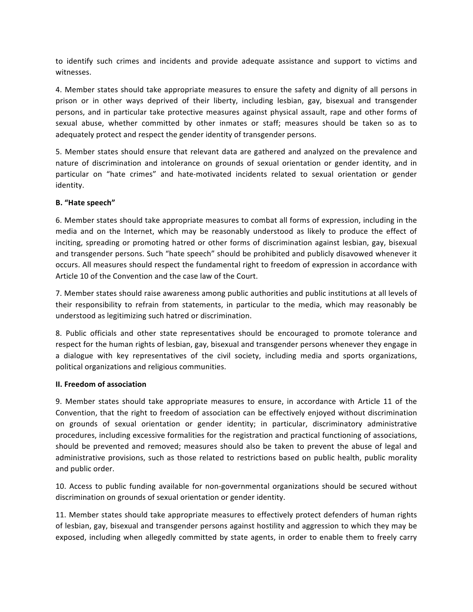to identify such crimes and incidents and provide adequate assistance and support to victims and witnesses.

4. Member states should take appropriate measures to ensure the safety and dignity of all persons in prison or in other ways deprived of their liberty, including lesbian, gay, bisexual and transgender persons, and in particular take protective measures against physical assault, rape and other forms of sexual abuse, whether committed by other inmates or staff; measures should be taken so as to adequately protect and respect the gender identity of transgender persons.

5. Member states should ensure that relevant data are gathered and analyzed on the prevalence and nature of discrimination and intolerance on grounds of sexual orientation or gender identity, and in particular on "hate crimes" and hate-motivated incidents related to sexual orientation or gender identity.

### **B. "Hate speech"**

6. Member states should take appropriate measures to combat all forms of expression, including in the media and on the Internet, which may be reasonably understood as likely to produce the effect of inciting, spreading or promoting hatred or other forms of discrimination against lesbian, gay, bisexual and transgender persons. Such "hate speech" should be prohibited and publicly disavowed whenever it occurs. All measures should respect the fundamental right to freedom of expression in accordance with Article 10 of the Convention and the case law of the Court.

7. Member states should raise awareness among public authorities and public institutions at all levels of their responsibility to refrain from statements, in particular to the media, which may reasonably be understood as legitimizing such hatred or discrimination.

8. Public officials and other state representatives should be encouraged to promote tolerance and respect for the human rights of lesbian, gay, bisexual and transgender persons whenever they engage in a dialogue with key representatives of the civil society, including media and sports organizations, political organizations and religious communities.

### **II. Freedom of association**

9. Member states should take appropriate measures to ensure, in accordance with Article 11 of the Convention, that the right to freedom of association can be effectively enjoyed without discrimination on grounds of sexual orientation or gender identity; in particular, discriminatory administrative procedures, including excessive formalities for the registration and practical functioning of associations, should be prevented and removed; measures should also be taken to prevent the abuse of legal and administrative provisions, such as those related to restrictions based on public health, public morality and public order.

10. Access to public funding available for non-governmental organizations should be secured without discrimination on grounds of sexual orientation or gender identity.

11. Member states should take appropriate measures to effectively protect defenders of human rights of lesbian, gay, bisexual and transgender persons against hostility and aggression to which they may be exposed, including when allegedly committed by state agents, in order to enable them to freely carry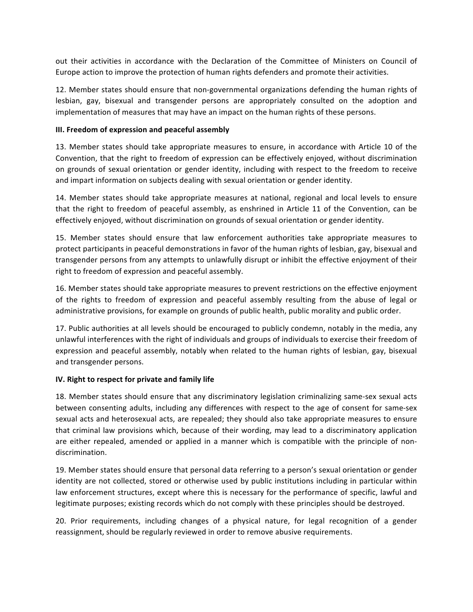out their activities in accordance with the Declaration of the Committee of Ministers on Council of Europe action to improve the protection of human rights defenders and promote their activities.

12. Member states should ensure that non-governmental organizations defending the human rights of lesbian, gay, bisexual and transgender persons are appropriately consulted on the adoption and implementation of measures that may have an impact on the human rights of these persons.

### **III. Freedom of expression and peaceful assembly**

13. Member states should take appropriate measures to ensure, in accordance with Article 10 of the Convention, that the right to freedom of expression can be effectively enjoyed, without discrimination on grounds of sexual orientation or gender identity, including with respect to the freedom to receive and impart information on subjects dealing with sexual orientation or gender identity.

14. Member states should take appropriate measures at national, regional and local levels to ensure that the right to freedom of peaceful assembly, as enshrined in Article 11 of the Convention, can be effectively enjoyed, without discrimination on grounds of sexual orientation or gender identity.

15. Member states should ensure that law enforcement authorities take appropriate measures to protect participants in peaceful demonstrations in favor of the human rights of lesbian, gay, bisexual and transgender persons from any attempts to unlawfully disrupt or inhibit the effective enjoyment of their right to freedom of expression and peaceful assembly.

16. Member states should take appropriate measures to prevent restrictions on the effective enjoyment of the rights to freedom of expression and peaceful assembly resulting from the abuse of legal or administrative provisions, for example on grounds of public health, public morality and public order.

17. Public authorities at all levels should be encouraged to publicly condemn, notably in the media, any unlawful interferences with the right of individuals and groups of individuals to exercise their freedom of expression and peaceful assembly, notably when related to the human rights of lesbian, gay, bisexual and transgender persons.

### **IV.** Right to respect for private and family life

18. Member states should ensure that any discriminatory legislation criminalizing same-sex sexual acts between consenting adults, including any differences with respect to the age of consent for same-sex sexual acts and heterosexual acts, are repealed; they should also take appropriate measures to ensure that criminal law provisions which, because of their wording, may lead to a discriminatory application are either repealed, amended or applied in a manner which is compatible with the principle of nondiscrimination.

19. Member states should ensure that personal data referring to a person's sexual orientation or gender identity are not collected, stored or otherwise used by public institutions including in particular within law enforcement structures, except where this is necessary for the performance of specific, lawful and legitimate purposes; existing records which do not comply with these principles should be destroyed.

20. Prior requirements, including changes of a physical nature, for legal recognition of a gender reassignment, should be regularly reviewed in order to remove abusive requirements.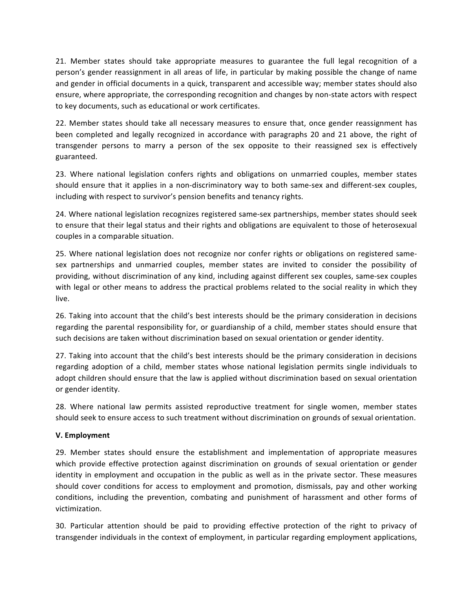21. Member states should take appropriate measures to guarantee the full legal recognition of a person's gender reassignment in all areas of life, in particular by making possible the change of name and gender in official documents in a quick, transparent and accessible way; member states should also ensure, where appropriate, the corresponding recognition and changes by non-state actors with respect to key documents, such as educational or work certificates.

22. Member states should take all necessary measures to ensure that, once gender reassignment has been completed and legally recognized in accordance with paragraphs 20 and 21 above, the right of transgender persons to marry a person of the sex opposite to their reassigned sex is effectively guaranteed.

23. Where national legislation confers rights and obligations on unmarried couples, member states should ensure that it applies in a non-discriminatory way to both same-sex and different-sex couples, including with respect to survivor's pension benefits and tenancy rights.

24. Where national legislation recognizes registered same-sex partnerships, member states should seek to ensure that their legal status and their rights and obligations are equivalent to those of heterosexual couples in a comparable situation.

25. Where national legislation does not recognize nor confer rights or obligations on registered samesex partnerships and unmarried couples, member states are invited to consider the possibility of providing, without discrimination of any kind, including against different sex couples, same-sex couples with legal or other means to address the practical problems related to the social reality in which they live.

26. Taking into account that the child's best interests should be the primary consideration in decisions regarding the parental responsibility for, or guardianship of a child, member states should ensure that such decisions are taken without discrimination based on sexual orientation or gender identity.

27. Taking into account that the child's best interests should be the primary consideration in decisions regarding adoption of a child, member states whose national legislation permits single individuals to adopt children should ensure that the law is applied without discrimination based on sexual orientation or gender identity.

28. Where national law permits assisted reproductive treatment for single women, member states should seek to ensure access to such treatment without discrimination on grounds of sexual orientation.

### **V. Employment**

29. Member states should ensure the establishment and implementation of appropriate measures which provide effective protection against discrimination on grounds of sexual orientation or gender identity in employment and occupation in the public as well as in the private sector. These measures should cover conditions for access to employment and promotion, dismissals, pay and other working conditions, including the prevention, combating and punishment of harassment and other forms of victimization.

30. Particular attention should be paid to providing effective protection of the right to privacy of transgender individuals in the context of employment, in particular regarding employment applications,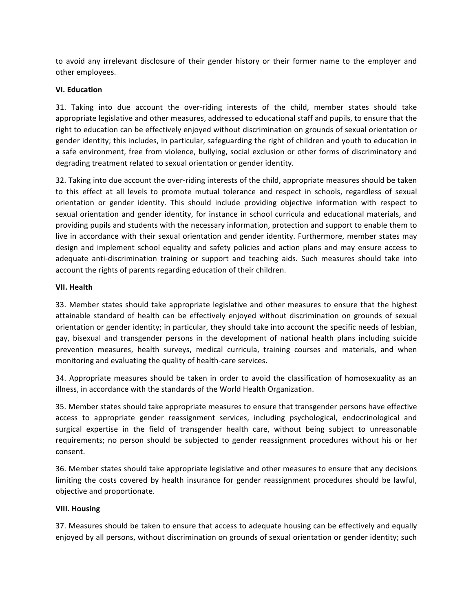to avoid any irrelevant disclosure of their gender history or their former name to the employer and other employees.

# **VI. Education**

31. Taking into due account the over-riding interests of the child, member states should take appropriate legislative and other measures, addressed to educational staff and pupils, to ensure that the right to education can be effectively enjoyed without discrimination on grounds of sexual orientation or gender identity; this includes, in particular, safeguarding the right of children and youth to education in a safe environment, free from violence, bullying, social exclusion or other forms of discriminatory and degrading treatment related to sexual orientation or gender identity.

32. Taking into due account the over-riding interests of the child, appropriate measures should be taken to this effect at all levels to promote mutual tolerance and respect in schools, regardless of sexual orientation or gender identity. This should include providing objective information with respect to sexual orientation and gender identity, for instance in school curricula and educational materials, and providing pupils and students with the necessary information, protection and support to enable them to live in accordance with their sexual orientation and gender identity. Furthermore, member states may design and implement school equality and safety policies and action plans and may ensure access to adequate anti-discrimination training or support and teaching aids. Such measures should take into account the rights of parents regarding education of their children.

### **VII. Health**

33. Member states should take appropriate legislative and other measures to ensure that the highest attainable standard of health can be effectively enjoyed without discrimination on grounds of sexual orientation or gender identity; in particular, they should take into account the specific needs of lesbian, gay, bisexual and transgender persons in the development of national health plans including suicide prevention measures, health surveys, medical curricula, training courses and materials, and when monitoring and evaluating the quality of health-care services.

34. Appropriate measures should be taken in order to avoid the classification of homosexuality as an illness, in accordance with the standards of the World Health Organization.

35. Member states should take appropriate measures to ensure that transgender persons have effective access to appropriate gender reassignment services, including psychological, endocrinological and surgical expertise in the field of transgender health care, without being subject to unreasonable requirements; no person should be subjected to gender reassignment procedures without his or her consent.

36. Member states should take appropriate legislative and other measures to ensure that any decisions limiting the costs covered by health insurance for gender reassignment procedures should be lawful, objective and proportionate.

### **VIII. Housing**

37. Measures should be taken to ensure that access to adequate housing can be effectively and equally enjoyed by all persons, without discrimination on grounds of sexual orientation or gender identity; such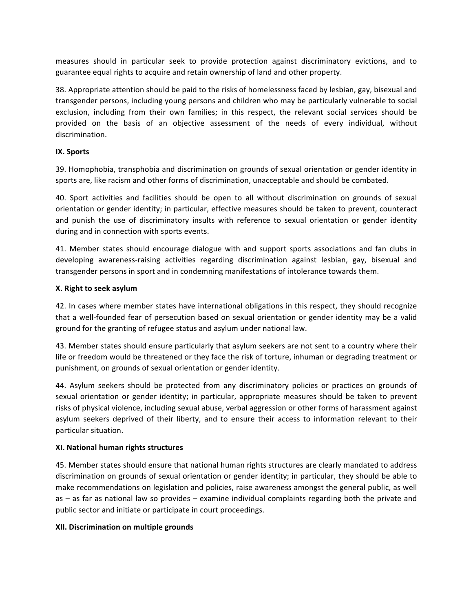measures should in particular seek to provide protection against discriminatory evictions, and to guarantee equal rights to acquire and retain ownership of land and other property.

38. Appropriate attention should be paid to the risks of homelessness faced by lesbian, gay, bisexual and transgender persons, including young persons and children who may be particularly vulnerable to social exclusion, including from their own families; in this respect, the relevant social services should be provided on the basis of an objective assessment of the needs of every individual, without discrimination.

### **IX. Sports**

39. Homophobia, transphobia and discrimination on grounds of sexual orientation or gender identity in sports are, like racism and other forms of discrimination, unacceptable and should be combated.

40. Sport activities and facilities should be open to all without discrimination on grounds of sexual orientation or gender identity; in particular, effective measures should be taken to prevent, counteract and punish the use of discriminatory insults with reference to sexual orientation or gender identity during and in connection with sports events.

41. Member states should encourage dialogue with and support sports associations and fan clubs in developing awareness-raising activities regarding discrimination against lesbian, gay, bisexual and transgender persons in sport and in condemning manifestations of intolerance towards them.

### **X.** Right to seek asylum

42. In cases where member states have international obligations in this respect, they should recognize that a well-founded fear of persecution based on sexual orientation or gender identity may be a valid ground for the granting of refugee status and asylum under national law.

43. Member states should ensure particularly that asylum seekers are not sent to a country where their life or freedom would be threatened or they face the risk of torture, inhuman or degrading treatment or punishment, on grounds of sexual orientation or gender identity.

44. Asylum seekers should be protected from any discriminatory policies or practices on grounds of sexual orientation or gender identity; in particular, appropriate measures should be taken to prevent risks of physical violence, including sexual abuse, verbal aggression or other forms of harassment against asylum seekers deprived of their liberty, and to ensure their access to information relevant to their particular situation.

### **XI. National human rights structures**

45. Member states should ensure that national human rights structures are clearly mandated to address discrimination on grounds of sexual orientation or gender identity; in particular, they should be able to make recommendations on legislation and policies, raise awareness amongst the general public, as well as  $-$  as far as national law so provides  $-$  examine individual complaints regarding both the private and public sector and initiate or participate in court proceedings.

### **XII. Discrimination on multiple grounds**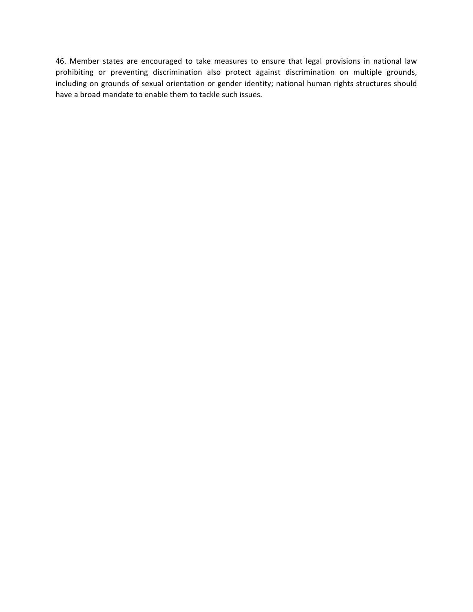46. Member states are encouraged to take measures to ensure that legal provisions in national law prohibiting or preventing discrimination also protect against discrimination on multiple grounds, including on grounds of sexual orientation or gender identity; national human rights structures should have a broad mandate to enable them to tackle such issues.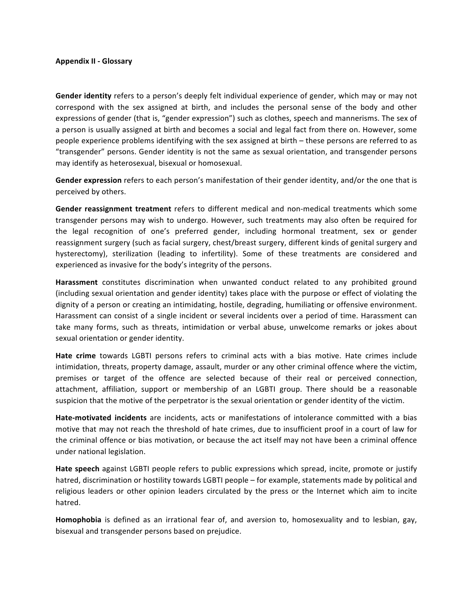#### **Appendix II - Glossary**

**Gender identity** refers to a person's deeply felt individual experience of gender, which may or may not correspond with the sex assigned at birth, and includes the personal sense of the body and other expressions of gender (that is, "gender expression") such as clothes, speech and mannerisms. The sex of a person is usually assigned at birth and becomes a social and legal fact from there on. However, some people experience problems identifying with the sex assigned at birth – these persons are referred to as "transgender" persons. Gender identity is not the same as sexual orientation, and transgender persons may identify as heterosexual, bisexual or homosexual.

**Gender expression** refers to each person's manifestation of their gender identity, and/or the one that is perceived by others.

**Gender reassignment treatment** refers to different medical and non-medical treatments which some transgender persons may wish to undergo. However, such treatments may also often be required for the legal recognition of one's preferred gender, including hormonal treatment, sex or gender reassignment surgery (such as facial surgery, chest/breast surgery, different kinds of genital surgery and hysterectomy), sterilization (leading to infertility). Some of these treatments are considered and experienced as invasive for the body's integrity of the persons.

Harassment constitutes discrimination when unwanted conduct related to any prohibited ground (including sexual orientation and gender identity) takes place with the purpose or effect of violating the dignity of a person or creating an intimidating, hostile, degrading, humiliating or offensive environment. Harassment can consist of a single incident or several incidents over a period of time. Harassment can take many forms, such as threats, intimidation or verbal abuse, unwelcome remarks or jokes about sexual orientation or gender identity.

Hate crime towards LGBTI persons refers to criminal acts with a bias motive. Hate crimes include intimidation, threats, property damage, assault, murder or any other criminal offence where the victim, premises or target of the offence are selected because of their real or perceived connection, attachment, affiliation, support or membership of an LGBTI group. There should be a reasonable suspicion that the motive of the perpetrator is the sexual orientation or gender identity of the victim.

**Hate-motivated incidents** are incidents, acts or manifestations of intolerance committed with a bias motive that may not reach the threshold of hate crimes, due to insufficient proof in a court of law for the criminal offence or bias motivation, or because the act itself may not have been a criminal offence under national legislation.

**Hate speech** against LGBTI people refers to public expressions which spread, incite, promote or justify hatred, discrimination or hostility towards LGBTI people – for example, statements made by political and religious leaders or other opinion leaders circulated by the press or the Internet which aim to incite hatred.

**Homophobia** is defined as an irrational fear of, and aversion to, homosexuality and to lesbian, gay, bisexual and transgender persons based on prejudice.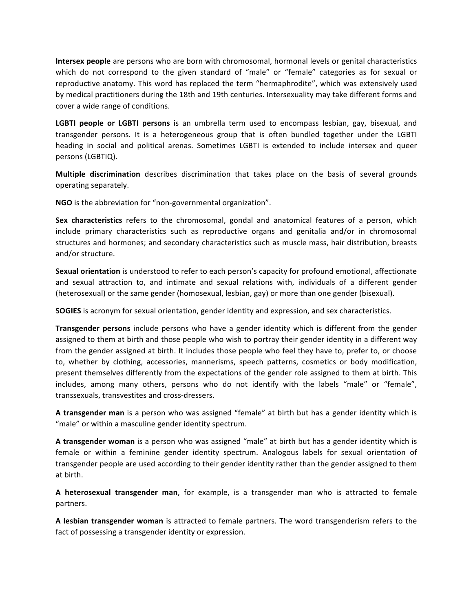**Intersex people** are persons who are born with chromosomal, hormonal levels or genital characteristics which do not correspond to the given standard of "male" or "female" categories as for sexual or reproductive anatomy. This word has replaced the term "hermaphrodite", which was extensively used by medical practitioners during the 18th and 19th centuries. Intersexuality may take different forms and cover a wide range of conditions.

**LGBTI** people or LGBTI persons is an umbrella term used to encompass lesbian, gay, bisexual, and transgender persons. It is a heterogeneous group that is often bundled together under the LGBTI heading in social and political arenas. Sometimes LGBTI is extended to include intersex and queer persons (LGBTIQ).

**Multiple discrimination** describes discrimination that takes place on the basis of several grounds operating separately.

**NGO** is the abbreviation for "non-governmental organization".

**Sex characteristics** refers to the chromosomal, gondal and anatomical features of a person, which include primary characteristics such as reproductive organs and genitalia and/or in chromosomal structures and hormones; and secondary characteristics such as muscle mass, hair distribution, breasts and/or structure.

**Sexual orientation** is understood to refer to each person's capacity for profound emotional, affectionate and sexual attraction to, and intimate and sexual relations with, individuals of a different gender (heterosexual) or the same gender (homosexual, lesbian, gay) or more than one gender (bisexual).

**SOGIES** is acronym for sexual orientation, gender identity and expression, and sex characteristics.

**Transgender persons** include persons who have a gender identity which is different from the gender assigned to them at birth and those people who wish to portray their gender identity in a different way from the gender assigned at birth. It includes those people who feel they have to, prefer to, or choose to, whether by clothing, accessories, mannerisms, speech patterns, cosmetics or body modification, present themselves differently from the expectations of the gender role assigned to them at birth. This includes, among many others, persons who do not identify with the labels "male" or "female", transsexuals, transvestites and cross-dressers.

A transgender man is a person who was assigned "female" at birth but has a gender identity which is "male" or within a masculine gender identity spectrum.

A transgender woman is a person who was assigned "male" at birth but has a gender identity which is female or within a feminine gender identity spectrum. Analogous labels for sexual orientation of transgender people are used according to their gender identity rather than the gender assigned to them at birth.

**A** heterosexual transgender man, for example, is a transgender man who is attracted to female partners. 

A lesbian transgender woman is attracted to female partners. The word transgenderism refers to the fact of possessing a transgender identity or expression.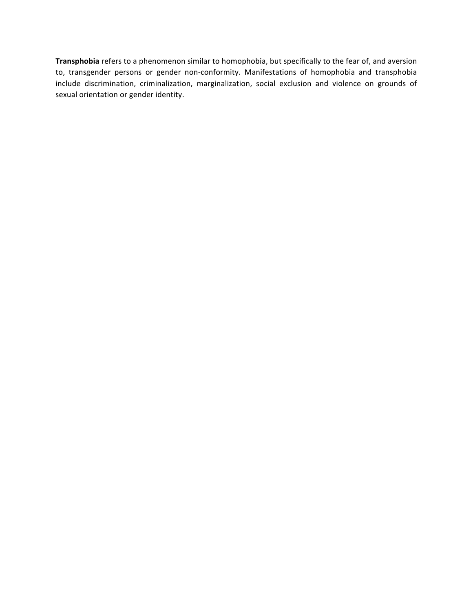Transphobia refers to a phenomenon similar to homophobia, but specifically to the fear of, and aversion to, transgender persons or gender non-conformity. Manifestations of homophobia and transphobia include discrimination, criminalization, marginalization, social exclusion and violence on grounds of sexual orientation or gender identity.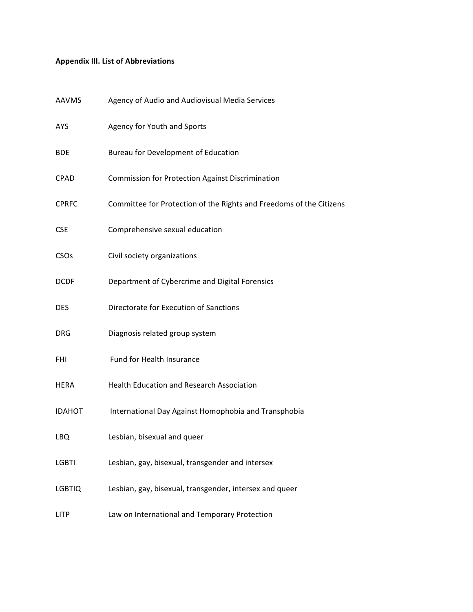# **Appendix III. List of Abbreviations**

| AAVMS            | Agency of Audio and Audiovisual Media Services                      |
|------------------|---------------------------------------------------------------------|
| <b>AYS</b>       | Agency for Youth and Sports                                         |
| <b>BDE</b>       | <b>Bureau for Development of Education</b>                          |
| <b>CPAD</b>      | Commission for Protection Against Discrimination                    |
| <b>CPRFC</b>     | Committee for Protection of the Rights and Freedoms of the Citizens |
| <b>CSE</b>       | Comprehensive sexual education                                      |
| CSO <sub>s</sub> | Civil society organizations                                         |
| <b>DCDF</b>      | Department of Cybercrime and Digital Forensics                      |
| <b>DES</b>       | Directorate for Execution of Sanctions                              |
| <b>DRG</b>       | Diagnosis related group system                                      |
| FHI              | Fund for Health Insurance                                           |
| <b>HERA</b>      | <b>Health Education and Research Association</b>                    |
| <b>IDAHOT</b>    | International Day Against Homophobia and Transphobia                |
| LBQ              | Lesbian, bisexual and queer                                         |
| <b>LGBTI</b>     | Lesbian, gay, bisexual, transgender and intersex                    |
| <b>LGBTIQ</b>    | Lesbian, gay, bisexual, transgender, intersex and queer             |
| <b>LITP</b>      | Law on International and Temporary Protection                       |